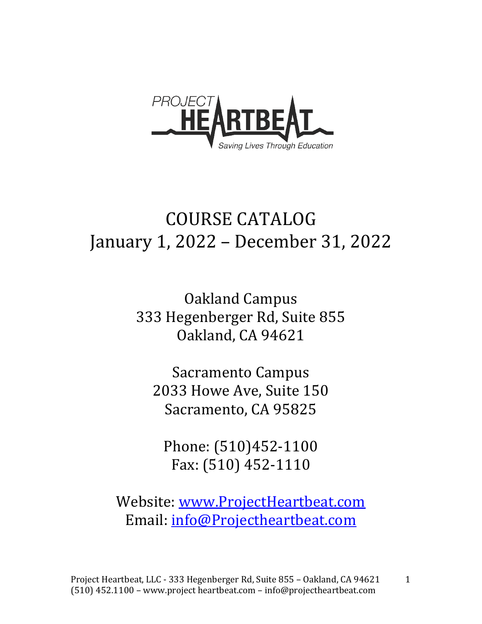

# **COURSE CATALOG** January 1, 2022 - December 31, 2022

**Oakland Campus** 333 Hegenberger Rd, Suite 855 Oakland, CA 94621

Sacramento Campus 2033 Howe Ave, Suite 150 Sacramento, CA 95825

Phone: (510)452-1100 Fax: (510) 452-1110

Website: www.ProjectHeartbeat.com Email: info@Projectheartbeat.com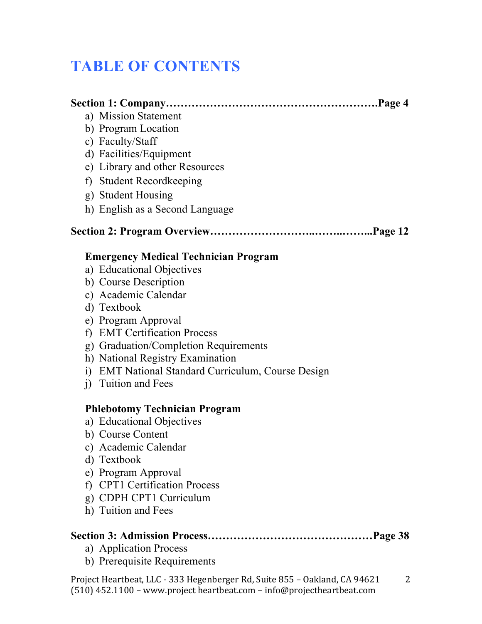# **TABLE OF CONTENTS**

| a) Mission Statement                  |                                                    |
|---------------------------------------|----------------------------------------------------|
| b) Program Location                   |                                                    |
| c) Faculty/Staff                      |                                                    |
| d) Facilities/Equipment               |                                                    |
| e) Library and other Resources        |                                                    |
| <b>Student Recordkeeping</b><br>f     |                                                    |
| g) Student Housing                    |                                                    |
|                                       | h) English as a Second Language                    |
|                                       |                                                    |
|                                       | <b>Emergency Medical Technician Program</b>        |
| a) Educational Objectives             |                                                    |
| b) Course Description                 |                                                    |
| c) Academic Calendar                  |                                                    |
| d) Textbook                           |                                                    |
| e) Program Approval                   |                                                    |
| <b>EMT Certification Process</b><br>f |                                                    |
|                                       | g) Graduation/Completion Requirements              |
|                                       | h) National Registry Examination                   |
|                                       | i) EMT National Standard Curriculum, Course Design |
| Tuition and Fees<br>$\ddot{1}$        |                                                    |
|                                       | <b>Phlebotomy Technician Program</b>               |
| a) Educational Objectives             |                                                    |
| b) Course Content                     |                                                    |
| c) Academic Calendar                  |                                                    |
| d) Textbook                           |                                                    |
| e) Program Approval                   |                                                    |
| f)                                    | <b>CPT1 Certification Process</b>                  |
| g) CDPH CPT1 Curriculum               |                                                    |
| h) Tuition and Fees                   |                                                    |
|                                       |                                                    |

- a) Application Process
- b) Prerequisite Requirements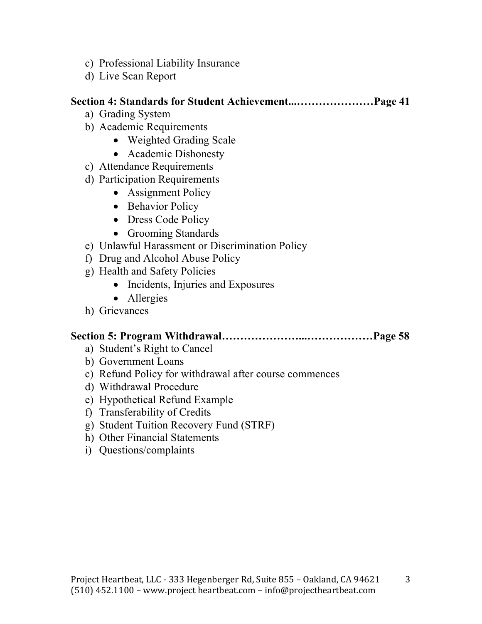- c) Professional Liability Insurance
- d) Live Scan Report

#### **Section 4: Standards for Student Achievement...…………………Page 41**

- a) Grading System
- b) Academic Requirements
	- Weighted Grading Scale
	- Academic Dishonesty
- c) Attendance Requirements
- d) Participation Requirements
	- Assignment Policy
	- Behavior Policy
	- Dress Code Policy
	- Grooming Standards
- e) Unlawful Harassment or Discrimination Policy
- f) Drug and Alcohol Abuse Policy
- g) Health and Safety Policies
	- Incidents, Injuries and Exposures
	- Allergies
- h) Grievances

### **Section 5: Program Withdrawal…………………...………………Page 58**

- a) Student's Right to Cancel
- b) Government Loans
- c) Refund Policy for withdrawal after course commences
- d) Withdrawal Procedure
- e) Hypothetical Refund Example
- f) Transferability of Credits
- g) Student Tuition Recovery Fund (STRF)
- h) Other Financial Statements
- i) Questions/complaints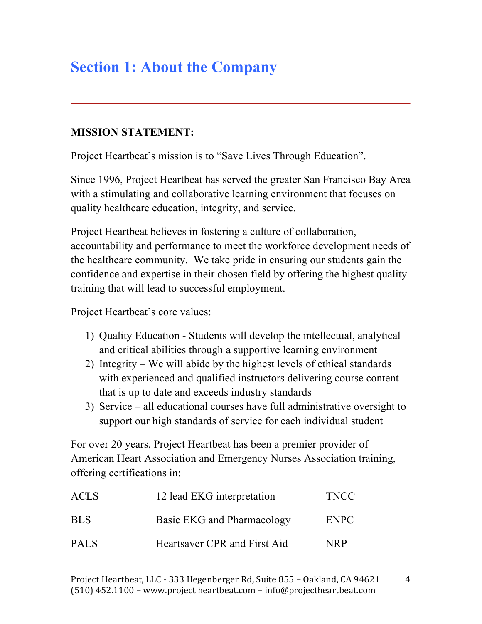# **Section 1: About the Company**

### **MISSION STATEMENT:**

Project Heartbeat's mission is to "Save Lives Through Education".

Since 1996, Project Heartbeat has served the greater San Francisco Bay Area with a stimulating and collaborative learning environment that focuses on quality healthcare education, integrity, and service.

Project Heartbeat believes in fostering a culture of collaboration, accountability and performance to meet the workforce development needs of the healthcare community. We take pride in ensuring our students gain the confidence and expertise in their chosen field by offering the highest quality training that will lead to successful employment.

Project Heartbeat's core values:

- 1) Quality Education Students will develop the intellectual, analytical and critical abilities through a supportive learning environment
- 2) Integrity We will abide by the highest levels of ethical standards with experienced and qualified instructors delivering course content that is up to date and exceeds industry standards
- 3) Service all educational courses have full administrative oversight to support our high standards of service for each individual student

For over 20 years, Project Heartbeat has been a premier provider of American Heart Association and Emergency Nurses Association training, offering certifications in:

| <b>ACLS</b> | 12 lead EKG interpretation   | <b>TNCC</b> |
|-------------|------------------------------|-------------|
| <b>BLS</b>  | Basic EKG and Pharmacology   | ENPC        |
| <b>PALS</b> | Heartsaver CPR and First Aid | NRP         |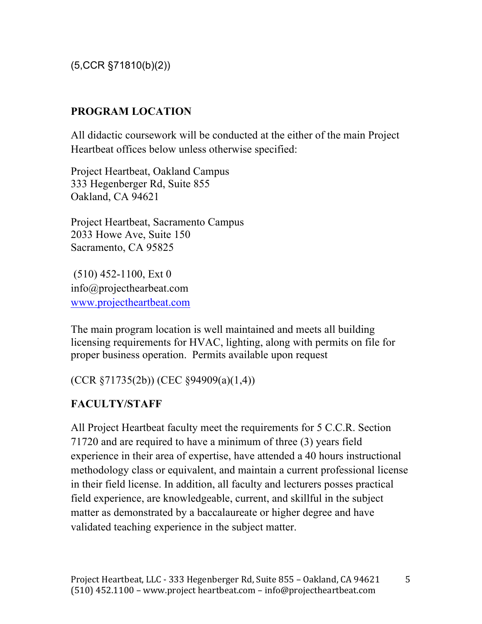(5,CCR §71810(b)(2))

### **PROGRAM LOCATION**

All didactic coursework will be conducted at the either of the main Project Heartbeat offices below unless otherwise specified:

Project Heartbeat, Oakland Campus 333 Hegenberger Rd, Suite 855 Oakland, CA 94621

Project Heartbeat, Sacramento Campus 2033 Howe Ave, Suite 150 Sacramento, CA 95825

(510) 452-1100, Ext 0 info@projecthearbeat.com www.projectheartbeat.com

The main program location is well maintained and meets all building licensing requirements for HVAC, lighting, along with permits on file for proper business operation. Permits available upon request

(CCR §71735(2b)) (CEC §94909(a)(1,4))

# **FACULTY/STAFF**

All Project Heartbeat faculty meet the requirements for 5 C.C.R. Section 71720 and are required to have a minimum of three (3) years field experience in their area of expertise, have attended a 40 hours instructional methodology class or equivalent, and maintain a current professional license in their field license. In addition, all faculty and lecturers posses practical field experience, are knowledgeable, current, and skillful in the subject matter as demonstrated by a baccalaureate or higher degree and have validated teaching experience in the subject matter.

5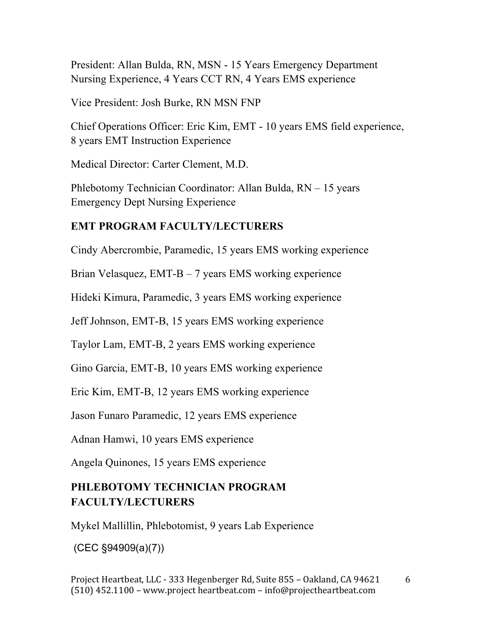President: Allan Bulda, RN, MSN - 15 Years Emergency Department Nursing Experience, 4 Years CCT RN, 4 Years EMS experience

Vice President: Josh Burke, RN MSN FNP

Chief Operations Officer: Eric Kim, EMT - 10 years EMS field experience, 8 years EMT Instruction Experience

Medical Director: Carter Clement, M.D.

Phlebotomy Technician Coordinator: Allan Bulda, RN – 15 years Emergency Dept Nursing Experience

#### **EMT PROGRAM FACULTY/LECTURERS**

Cindy Abercrombie, Paramedic, 15 years EMS working experience

Brian Velasquez, EMT-B – 7 years EMS working experience

Hideki Kimura, Paramedic, 3 years EMS working experience

Jeff Johnson, EMT-B, 15 years EMS working experience

Taylor Lam, EMT-B, 2 years EMS working experience

Gino Garcia, EMT-B, 10 years EMS working experience

Eric Kim, EMT-B, 12 years EMS working experience

Jason Funaro Paramedic, 12 years EMS experience

Adnan Hamwi, 10 years EMS experience

Angela Quinones, 15 years EMS experience

### **PHLEBOTOMY TECHNICIAN PROGRAM FACULTY/LECTURERS**

Mykel Mallillin, Phlebotomist, 9 years Lab Experience

(CEC §94909(a)(7))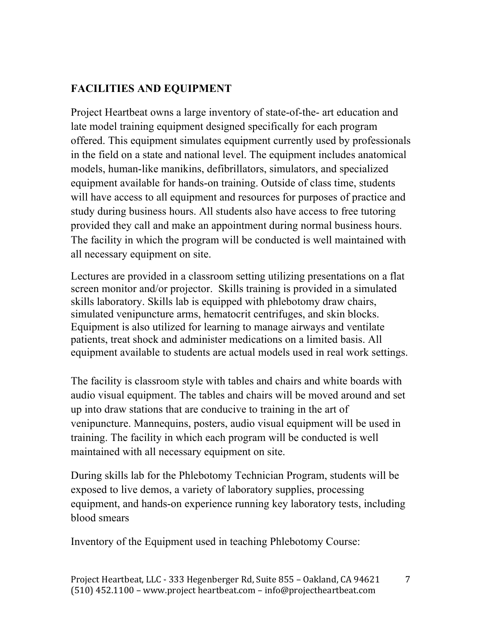# **FACILITIES AND EQUIPMENT**

Project Heartbeat owns a large inventory of state-of-the- art education and late model training equipment designed specifically for each program offered. This equipment simulates equipment currently used by professionals in the field on a state and national level. The equipment includes anatomical models, human-like manikins, defibrillators, simulators, and specialized equipment available for hands-on training. Outside of class time, students will have access to all equipment and resources for purposes of practice and study during business hours. All students also have access to free tutoring provided they call and make an appointment during normal business hours. The facility in which the program will be conducted is well maintained with all necessary equipment on site.

Lectures are provided in a classroom setting utilizing presentations on a flat screen monitor and/or projector. Skills training is provided in a simulated skills laboratory. Skills lab is equipped with phlebotomy draw chairs, simulated venipuncture arms, hematocrit centrifuges, and skin blocks. Equipment is also utilized for learning to manage airways and ventilate patients, treat shock and administer medications on a limited basis. All equipment available to students are actual models used in real work settings.

The facility is classroom style with tables and chairs and white boards with audio visual equipment. The tables and chairs will be moved around and set up into draw stations that are conducive to training in the art of venipuncture. Mannequins, posters, audio visual equipment will be used in training. The facility in which each program will be conducted is well maintained with all necessary equipment on site.

During skills lab for the Phlebotomy Technician Program, students will be exposed to live demos, a variety of laboratory supplies, processing equipment, and hands-on experience running key laboratory tests, including blood smears

Inventory of the Equipment used in teaching Phlebotomy Course:

7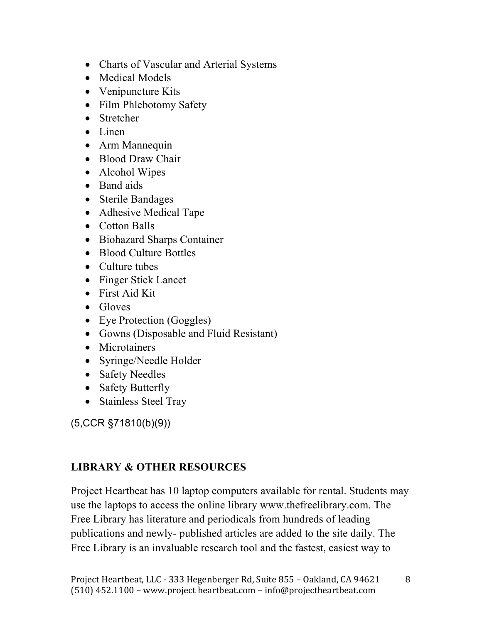- Charts of Vascular and Arterial Systems
- Medical Models
- Venipuncture Kits
- Film Phlebotomy Safety
- Stretcher
- Linen
- Arm Mannequin
- Blood Draw Chair
- Alcohol Wipes
- Band aids
- Sterile Bandages
- Adhesive Medical Tape
- Cotton Balls
- Biohazard Sharps Container
- Blood Culture Bottles
- Culture tubes
- Finger Stick Lancet
- First Aid Kit
- Gloves
- Eye Protection (Goggles)
- Gowns (Disposable and Fluid Resistant)
- Microtainers
- Syringe/Needle Holder
- Safety Needles
- Safety Butterfly
- Stainless Steel Tray

(5,CCR §71810(b)(9))

# **LIBRARY & OTHER RESOURCES**

Project Heartbeat has 10 laptop computers available for rental. Students may use the laptops to access the online library www.thefreelibrary.com. The Free Library has literature and periodicals from hundreds of leading publications and newly- published articles are added to the site daily. The Free Library is an invaluable research tool and the fastest, easiest way to

8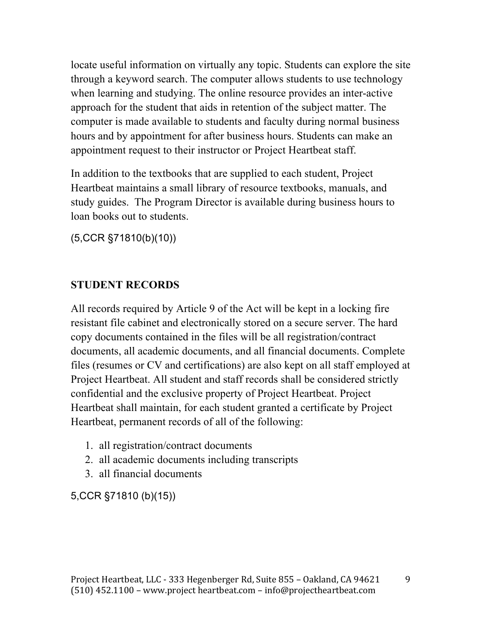locate useful information on virtually any topic. Students can explore the site through a keyword search. The computer allows students to use technology when learning and studying. The online resource provides an inter-active approach for the student that aids in retention of the subject matter. The computer is made available to students and faculty during normal business hours and by appointment for after business hours. Students can make an appointment request to their instructor or Project Heartbeat staff.

In addition to the textbooks that are supplied to each student, Project Heartbeat maintains a small library of resource textbooks, manuals, and study guides. The Program Director is available during business hours to loan books out to students.

(5,CCR §71810(b)(10))

#### **STUDENT RECORDS**

All records required by Article 9 of the Act will be kept in a locking fire resistant file cabinet and electronically stored on a secure server. The hard copy documents contained in the files will be all registration/contract documents, all academic documents, and all financial documents. Complete files (resumes or CV and certifications) are also kept on all staff employed at Project Heartbeat. All student and staff records shall be considered strictly confidential and the exclusive property of Project Heartbeat. Project Heartbeat shall maintain, for each student granted a certificate by Project Heartbeat, permanent records of all of the following:

- 1. all registration/contract documents
- 2. all academic documents including transcripts
- 3. all financial documents

5,CCR §71810 (b)(15))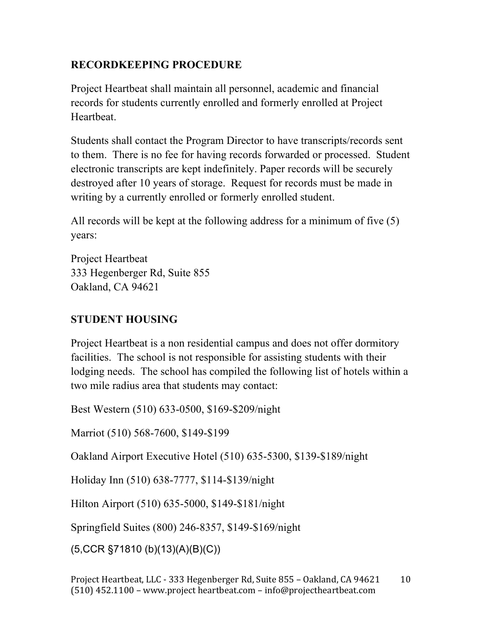### **RECORDKEEPING PROCEDURE**

Project Heartbeat shall maintain all personnel, academic and financial records for students currently enrolled and formerly enrolled at Project Heartheat.

Students shall contact the Program Director to have transcripts/records sent to them. There is no fee for having records forwarded or processed. Student electronic transcripts are kept indefinitely. Paper records will be securely destroyed after 10 years of storage. Request for records must be made in writing by a currently enrolled or formerly enrolled student.

All records will be kept at the following address for a minimum of five (5) years:

Project Heartbeat 333 Hegenberger Rd, Suite 855 Oakland, CA 94621

### **STUDENT HOUSING**

Project Heartbeat is a non residential campus and does not offer dormitory facilities. The school is not responsible for assisting students with their lodging needs. The school has compiled the following list of hotels within a two mile radius area that students may contact:

Best Western (510) 633-0500, \$169-\$209/night

Marriot (510) 568-7600, \$149-\$199

Oakland Airport Executive Hotel (510) 635-5300, \$139-\$189/night

Holiday Inn (510) 638-7777, \$114-\$139/night

Hilton Airport (510) 635-5000, \$149-\$181/night

Springfield Suites (800) 246-8357, \$149-\$169/night

(5,CCR §71810 (b)(13)(A)(B)(C))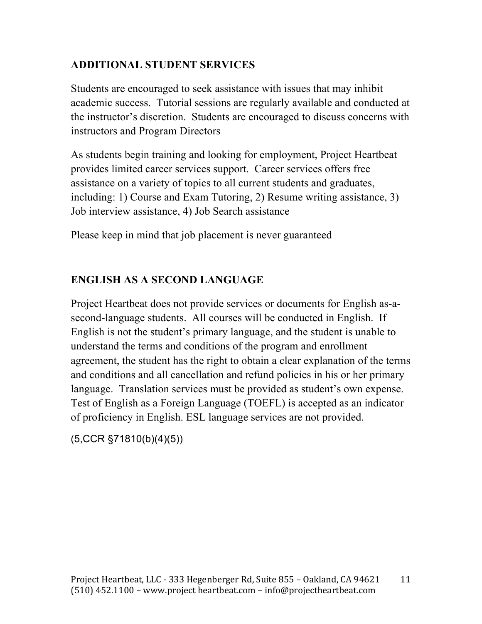### **ADDITIONAL STUDENT SERVICES**

Students are encouraged to seek assistance with issues that may inhibit academic success. Tutorial sessions are regularly available and conducted at the instructor's discretion. Students are encouraged to discuss concerns with instructors and Program Directors

As students begin training and looking for employment, Project Heartbeat provides limited career services support. Career services offers free assistance on a variety of topics to all current students and graduates, including: 1) Course and Exam Tutoring, 2) Resume writing assistance, 3) Job interview assistance, 4) Job Search assistance

Please keep in mind that job placement is never guaranteed

### **ENGLISH AS A SECOND LANGUAGE**

Project Heartbeat does not provide services or documents for English as-asecond-language students. All courses will be conducted in English. If English is not the student's primary language, and the student is unable to understand the terms and conditions of the program and enrollment agreement, the student has the right to obtain a clear explanation of the terms and conditions and all cancellation and refund policies in his or her primary language. Translation services must be provided as student's own expense. Test of English as a Foreign Language (TOEFL) is accepted as an indicator of proficiency in English. ESL language services are not provided.

(5,CCR §71810(b)(4)(5))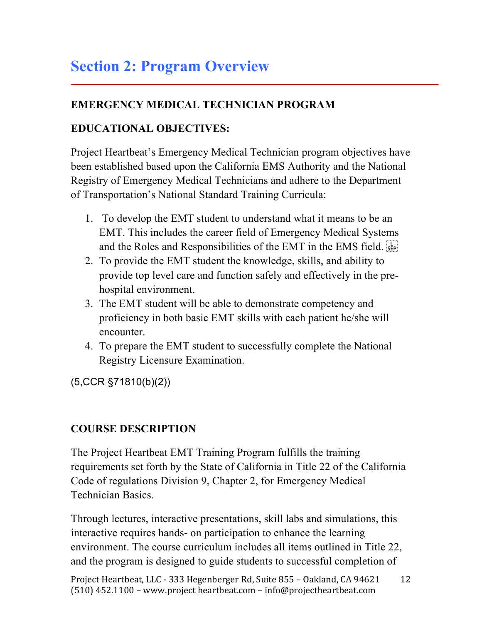# **Section 2: Program Overview**

## **EMERGENCY MEDICAL TECHNICIAN PROGRAM**

### **EDUCATIONAL OBJECTIVES:**

Project Heartbeat's Emergency Medical Technician program objectives have been established based upon the California EMS Authority and the National Registry of Emergency Medical Technicians and adhere to the Department of Transportation's National Standard Training Curricula:

- 1. To develop the EMT student to understand what it means to be an EMT. This includes the career field of Emergency Medical Systems and the Roles and Responsibilities of the EMT in the EMS field.
- 2. To provide the EMT student the knowledge, skills, and ability to provide top level care and function safely and effectively in the prehospital environment.
- 3. The EMT student will be able to demonstrate competency and proficiency in both basic EMT skills with each patient he/she will encounter.
- 4. To prepare the EMT student to successfully complete the National Registry Licensure Examination.

(5,CCR §71810(b)(2))

### **COURSE DESCRIPTION**

The Project Heartbeat EMT Training Program fulfills the training requirements set forth by the State of California in Title 22 of the California Code of regulations Division 9, Chapter 2, for Emergency Medical Technician Basics.

Through lectures, interactive presentations, skill labs and simulations, this interactive requires hands- on participation to enhance the learning environment. The course curriculum includes all items outlined in Title 22, and the program is designed to guide students to successful completion of

Project Heartbeat, LLC - 333 Hegenberger Rd, Suite 855 - Oakland, CA 94621  $(510)$  452.1100 – www.project heartbeat.com – info@projectheartbeat.com 12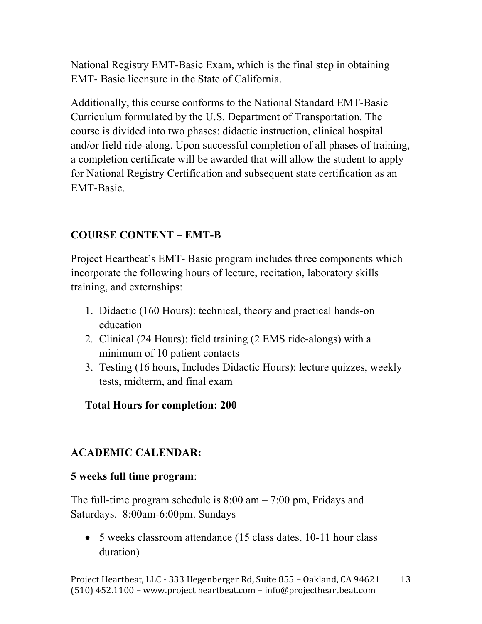National Registry EMT-Basic Exam, which is the final step in obtaining EMT- Basic licensure in the State of California.

Additionally, this course conforms to the National Standard EMT-Basic Curriculum formulated by the U.S. Department of Transportation. The course is divided into two phases: didactic instruction, clinical hospital and/or field ride-along. Upon successful completion of all phases of training, a completion certificate will be awarded that will allow the student to apply for National Registry Certification and subsequent state certification as an EMT-Basic.

### **COURSE CONTENT – EMT-B**

Project Heartbeat's EMT- Basic program includes three components which incorporate the following hours of lecture, recitation, laboratory skills training, and externships:

- 1. Didactic (160 Hours): technical, theory and practical hands-on education
- 2. Clinical (24 Hours): field training (2 EMS ride-alongs) with a minimum of 10 patient contacts
- 3. Testing (16 hours, Includes Didactic Hours): lecture quizzes, weekly tests, midterm, and final exam

### **Total Hours for completion: 200**

### **ACADEMIC CALENDAR:**

#### **5 weeks full time program**:

The full-time program schedule is  $8:00 \text{ am} - 7:00 \text{ pm}$ , Fridays and Saturdays. 8:00am-6:00pm. Sundays

• 5 weeks classroom attendance (15 class dates, 10-11 hour class duration)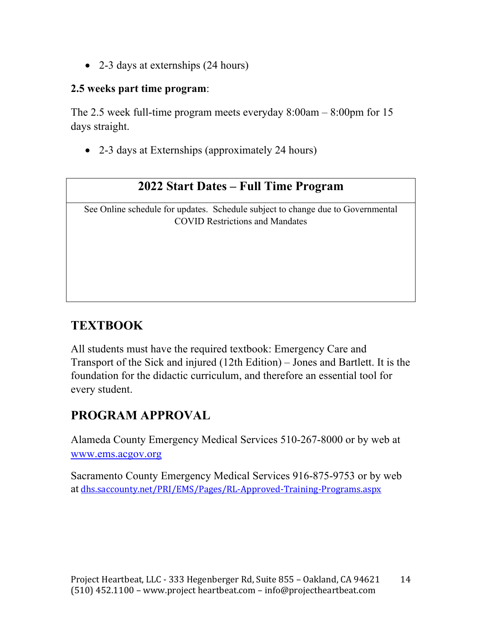• 2-3 days at externships (24 hours)

#### **2.5 weeks part time program**:

The 2.5 week full-time program meets everyday 8:00am – 8:00pm for 15 days straight.

• 2-3 days at Externships (approximately 24 hours)

# **2022 Start Dates – Full Time Program**

See Online schedule for updates. Schedule subject to change due to Governmental COVID Restrictions and Mandates

# **TEXTBOOK**

All students must have the required textbook: Emergency Care and Transport of the Sick and injured (12th Edition) – Jones and Bartlett. It is the foundation for the didactic curriculum, and therefore an essential tool for every student.

# **PROGRAM APPROVAL**

Alameda County Emergency Medical Services 510-267-8000 or by web at www.ems.acgov.org

Sacramento County Emergency Medical Services 916-875-9753 or by web at dhs.saccounty.net/PRI/EMS/Pages/RL-Approved-Training-Programs.aspx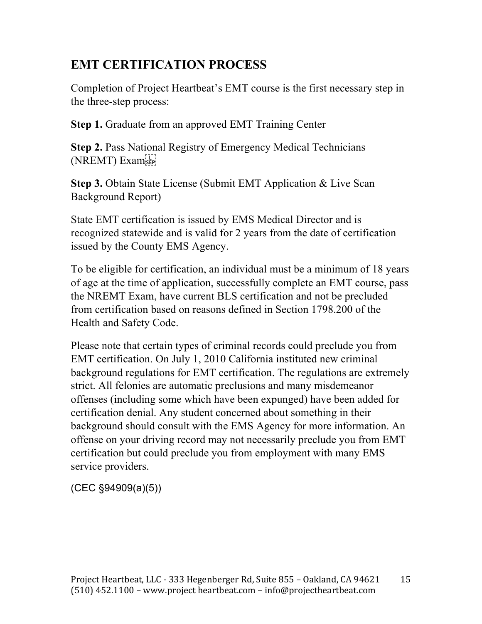# **EMT CERTIFICATION PROCESS**

Completion of Project Heartbeat's EMT course is the first necessary step in the three-step process:

**Step 1.** Graduate from an approved EMT Training Center

**Step 2.** Pass National Registry of Emergency Medical Technicians (NREMT) Examiser

**Step 3.** Obtain State License (Submit EMT Application & Live Scan Background Report)

State EMT certification is issued by EMS Medical Director and is recognized statewide and is valid for 2 years from the date of certification issued by the County EMS Agency.

To be eligible for certification, an individual must be a minimum of 18 years of age at the time of application, successfully complete an EMT course, pass the NREMT Exam, have current BLS certification and not be precluded from certification based on reasons defined in Section 1798.200 of the Health and Safety Code.

Please note that certain types of criminal records could preclude you from EMT certification. On July 1, 2010 California instituted new criminal background regulations for EMT certification. The regulations are extremely strict. All felonies are automatic preclusions and many misdemeanor offenses (including some which have been expunged) have been added for certification denial. Any student concerned about something in their background should consult with the EMS Agency for more information. An offense on your driving record may not necessarily preclude you from EMT certification but could preclude you from employment with many EMS service providers.

(CEC §94909(a)(5))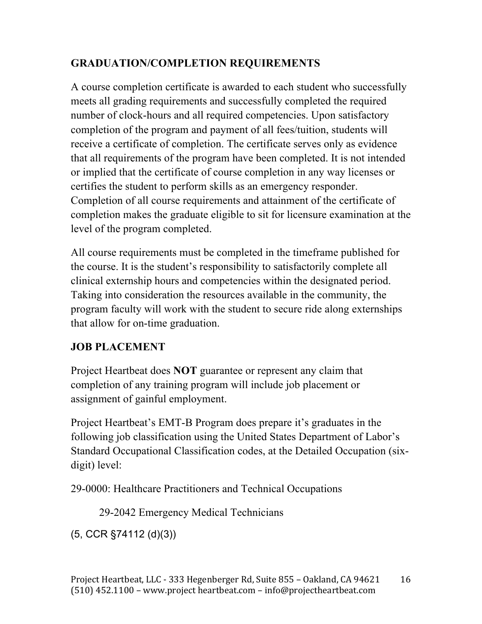## **GRADUATION/COMPLETION REQUIREMENTS**

A course completion certificate is awarded to each student who successfully meets all grading requirements and successfully completed the required number of clock-hours and all required competencies. Upon satisfactory completion of the program and payment of all fees/tuition, students will receive a certificate of completion. The certificate serves only as evidence that all requirements of the program have been completed. It is not intended or implied that the certificate of course completion in any way licenses or certifies the student to perform skills as an emergency responder. Completion of all course requirements and attainment of the certificate of completion makes the graduate eligible to sit for licensure examination at the level of the program completed.

All course requirements must be completed in the timeframe published for the course. It is the student's responsibility to satisfactorily complete all clinical externship hours and competencies within the designated period. Taking into consideration the resources available in the community, the program faculty will work with the student to secure ride along externships that allow for on-time graduation.

### **JOB PLACEMENT**

Project Heartbeat does **NOT** guarantee or represent any claim that completion of any training program will include job placement or assignment of gainful employment.

Project Heartbeat's EMT-B Program does prepare it's graduates in the following job classification using the United States Department of Labor's Standard Occupational Classification codes, at the Detailed Occupation (sixdigit) level:

29-0000: Healthcare Practitioners and Technical Occupations

29-2042 Emergency Medical Technicians

(5, CCR §74112 (d)(3))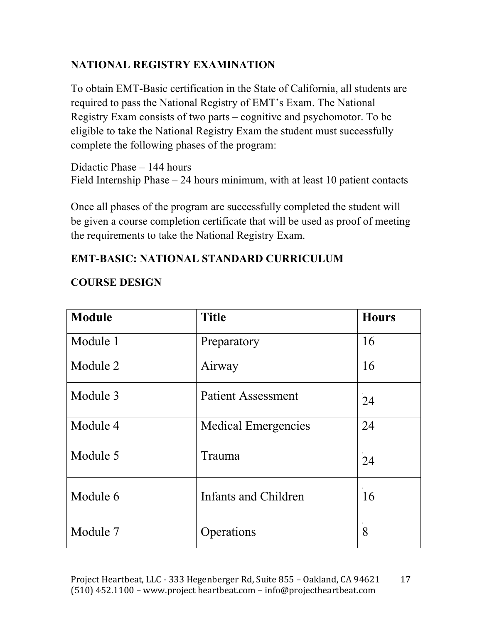### **NATIONAL REGISTRY EXAMINATION**

To obtain EMT-Basic certification in the State of California, all students are required to pass the National Registry of EMT's Exam. The National Registry Exam consists of two parts – cognitive and psychomotor. To be eligible to take the National Registry Exam the student must successfully complete the following phases of the program:

Didactic Phase – 144 hours Field Internship Phase – 24 hours minimum, with at least 10 patient contacts

Once all phases of the program are successfully completed the student will be given a course completion certificate that will be used as proof of meeting the requirements to take the National Registry Exam.

### **EMT-BASIC: NATIONAL STANDARD CURRICULUM**

| <b>Module</b> | <b>Title</b>               | <b>Hours</b> |
|---------------|----------------------------|--------------|
| Module 1      | Preparatory                | 16           |
| Module 2      | Airway                     | 16           |
| Module 3      | Patient Assessment         | 24           |
| Module 4      | <b>Medical Emergencies</b> | 24           |
| Module 5      | Trauma                     | 24           |
| Module 6      | Infants and Children       | 16           |
| Module 7      | Operations                 | 8            |

### **COURSE DESIGN**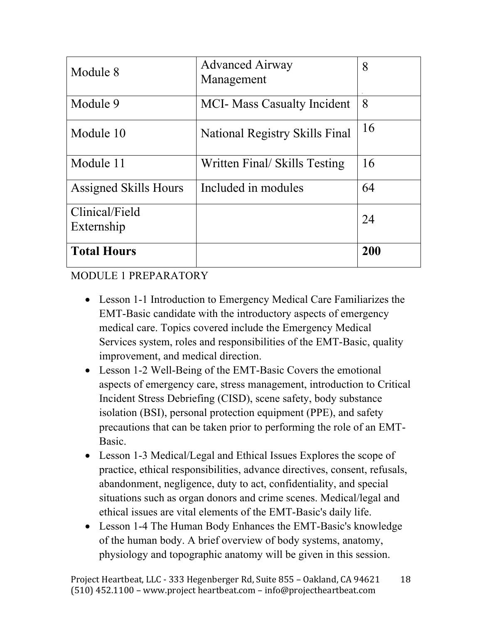| Module 8                     | <b>Advanced Airway</b><br>Management  | 8   |
|------------------------------|---------------------------------------|-----|
| Module 9                     | <b>MCI- Mass Casualty Incident</b>    | 8   |
| Module 10                    | <b>National Registry Skills Final</b> | 16  |
| Module 11                    | Written Final/ Skills Testing         | 16  |
| <b>Assigned Skills Hours</b> | Included in modules                   | 64  |
| Clinical/Field<br>Externship |                                       | 24  |
| <b>Total Hours</b>           |                                       | 200 |

### MODULE 1 PREPARATORY

- Lesson 1-1 Introduction to Emergency Medical Care Familiarizes the EMT-Basic candidate with the introductory aspects of emergency medical care. Topics covered include the Emergency Medical Services system, roles and responsibilities of the EMT-Basic, quality improvement, and medical direction.
- Lesson 1-2 Well-Being of the EMT-Basic Covers the emotional aspects of emergency care, stress management, introduction to Critical Incident Stress Debriefing (CISD), scene safety, body substance isolation (BSI), personal protection equipment (PPE), and safety precautions that can be taken prior to performing the role of an EMT-Basic.
- Lesson 1-3 Medical/Legal and Ethical Issues Explores the scope of practice, ethical responsibilities, advance directives, consent, refusals, abandonment, negligence, duty to act, confidentiality, and special situations such as organ donors and crime scenes. Medical/legal and ethical issues are vital elements of the EMT-Basic's daily life.
- Lesson 1-4 The Human Body Enhances the EMT-Basic's knowledge of the human body. A brief overview of body systems, anatomy, physiology and topographic anatomy will be given in this session.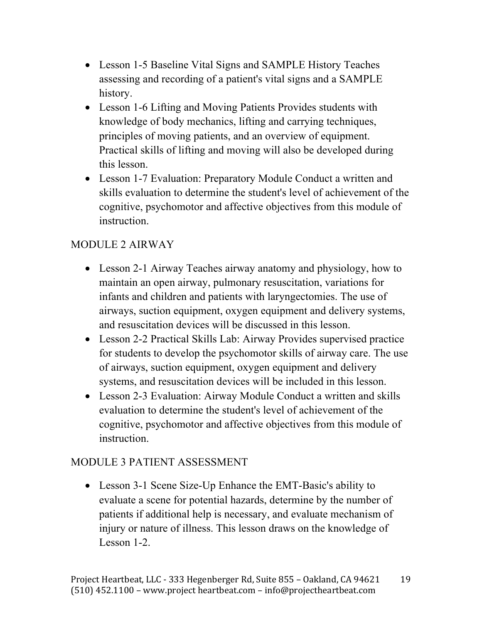- Lesson 1-5 Baseline Vital Signs and SAMPLE History Teaches assessing and recording of a patient's vital signs and a SAMPLE history.
- Lesson 1-6 Lifting and Moving Patients Provides students with knowledge of body mechanics, lifting and carrying techniques, principles of moving patients, and an overview of equipment. Practical skills of lifting and moving will also be developed during this lesson.
- Lesson 1-7 Evaluation: Preparatory Module Conduct a written and skills evaluation to determine the student's level of achievement of the cognitive, psychomotor and affective objectives from this module of instruction.

### MODULE 2 AIRWAY

- Lesson 2-1 Airway Teaches airway anatomy and physiology, how to maintain an open airway, pulmonary resuscitation, variations for infants and children and patients with laryngectomies. The use of airways, suction equipment, oxygen equipment and delivery systems, and resuscitation devices will be discussed in this lesson.
- Lesson 2-2 Practical Skills Lab: Airway Provides supervised practice for students to develop the psychomotor skills of airway care. The use of airways, suction equipment, oxygen equipment and delivery systems, and resuscitation devices will be included in this lesson.
- Lesson 2-3 Evaluation: Airway Module Conduct a written and skills evaluation to determine the student's level of achievement of the cognitive, psychomotor and affective objectives from this module of instruction.

### MODULE 3 PATIENT ASSESSMENT

• Lesson 3-1 Scene Size-Up Enhance the EMT-Basic's ability to evaluate a scene for potential hazards, determine by the number of patients if additional help is necessary, and evaluate mechanism of injury or nature of illness. This lesson draws on the knowledge of Lesson 1-2.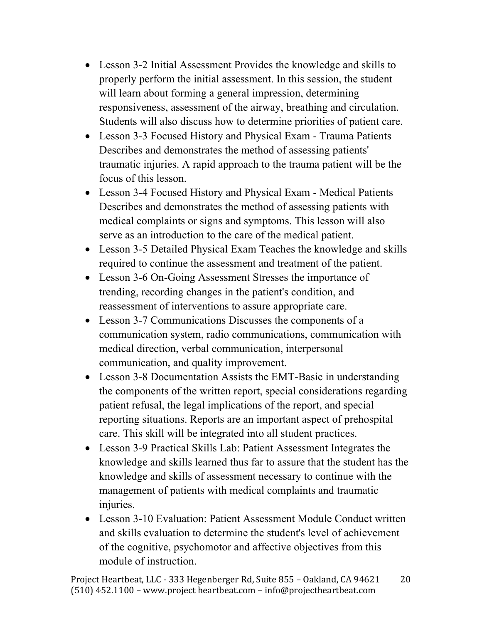- Lesson 3-2 Initial Assessment Provides the knowledge and skills to properly perform the initial assessment. In this session, the student will learn about forming a general impression, determining responsiveness, assessment of the airway, breathing and circulation. Students will also discuss how to determine priorities of patient care.
- Lesson 3-3 Focused History and Physical Exam Trauma Patients Describes and demonstrates the method of assessing patients' traumatic injuries. A rapid approach to the trauma patient will be the focus of this lesson.
- Lesson 3-4 Focused History and Physical Exam Medical Patients Describes and demonstrates the method of assessing patients with medical complaints or signs and symptoms. This lesson will also serve as an introduction to the care of the medical patient.
- Lesson 3-5 Detailed Physical Exam Teaches the knowledge and skills required to continue the assessment and treatment of the patient.
- Lesson 3-6 On-Going Assessment Stresses the importance of trending, recording changes in the patient's condition, and reassessment of interventions to assure appropriate care.
- Lesson 3-7 Communications Discusses the components of a communication system, radio communications, communication with medical direction, verbal communication, interpersonal communication, and quality improvement.
- Lesson 3-8 Documentation Assists the EMT-Basic in understanding the components of the written report, special considerations regarding patient refusal, the legal implications of the report, and special reporting situations. Reports are an important aspect of prehospital care. This skill will be integrated into all student practices.
- Lesson 3-9 Practical Skills Lab: Patient Assessment Integrates the knowledge and skills learned thus far to assure that the student has the knowledge and skills of assessment necessary to continue with the management of patients with medical complaints and traumatic injuries.
- Lesson 3-10 Evaluation: Patient Assessment Module Conduct written and skills evaluation to determine the student's level of achievement of the cognitive, psychomotor and affective objectives from this module of instruction.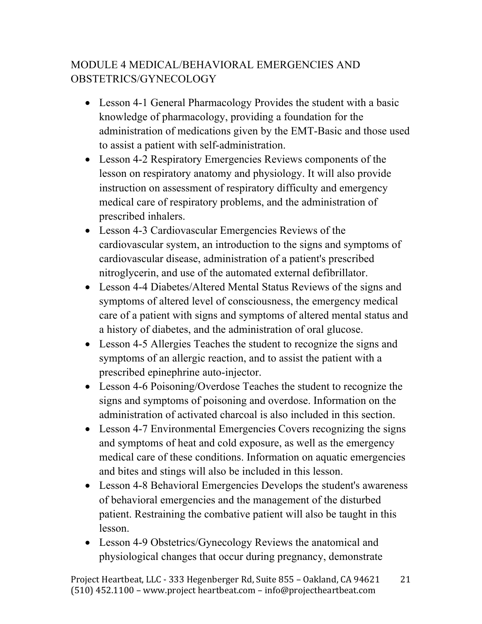# MODULE 4 MEDICAL/BEHAVIORAL EMERGENCIES AND OBSTETRICS/GYNECOLOGY

- Lesson 4-1 General Pharmacology Provides the student with a basic knowledge of pharmacology, providing a foundation for the administration of medications given by the EMT-Basic and those used to assist a patient with self-administration.
- Lesson 4-2 Respiratory Emergencies Reviews components of the lesson on respiratory anatomy and physiology. It will also provide instruction on assessment of respiratory difficulty and emergency medical care of respiratory problems, and the administration of prescribed inhalers.
- Lesson 4-3 Cardiovascular Emergencies Reviews of the cardiovascular system, an introduction to the signs and symptoms of cardiovascular disease, administration of a patient's prescribed nitroglycerin, and use of the automated external defibrillator.
- Lesson 4-4 Diabetes/Altered Mental Status Reviews of the signs and symptoms of altered level of consciousness, the emergency medical care of a patient with signs and symptoms of altered mental status and a history of diabetes, and the administration of oral glucose.
- Lesson 4-5 Allergies Teaches the student to recognize the signs and symptoms of an allergic reaction, and to assist the patient with a prescribed epinephrine auto-injector.
- Lesson 4-6 Poisoning/Overdose Teaches the student to recognize the signs and symptoms of poisoning and overdose. Information on the administration of activated charcoal is also included in this section.
- Lesson 4-7 Environmental Emergencies Covers recognizing the signs and symptoms of heat and cold exposure, as well as the emergency medical care of these conditions. Information on aquatic emergencies and bites and stings will also be included in this lesson.
- Lesson 4-8 Behavioral Emergencies Develops the student's awareness of behavioral emergencies and the management of the disturbed patient. Restraining the combative patient will also be taught in this lesson.
- Lesson 4-9 Obstetrics/Gynecology Reviews the anatomical and physiological changes that occur during pregnancy, demonstrate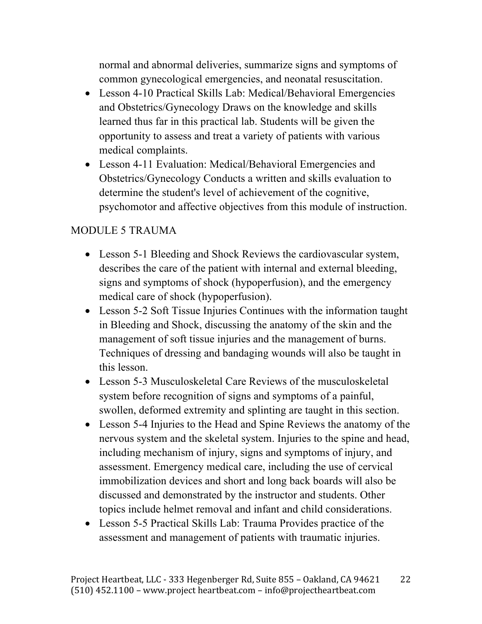normal and abnormal deliveries, summarize signs and symptoms of common gynecological emergencies, and neonatal resuscitation.

- Lesson 4-10 Practical Skills Lab: Medical/Behavioral Emergencies and Obstetrics/Gynecology Draws on the knowledge and skills learned thus far in this practical lab. Students will be given the opportunity to assess and treat a variety of patients with various medical complaints.
- Lesson 4-11 Evaluation: Medical/Behavioral Emergencies and Obstetrics/Gynecology Conducts a written and skills evaluation to determine the student's level of achievement of the cognitive, psychomotor and affective objectives from this module of instruction.

### MODULE 5 TRAUMA

- Lesson 5-1 Bleeding and Shock Reviews the cardiovascular system, describes the care of the patient with internal and external bleeding, signs and symptoms of shock (hypoperfusion), and the emergency medical care of shock (hypoperfusion).
- Lesson 5-2 Soft Tissue Injuries Continues with the information taught in Bleeding and Shock, discussing the anatomy of the skin and the management of soft tissue injuries and the management of burns. Techniques of dressing and bandaging wounds will also be taught in this lesson.
- Lesson 5-3 Musculoskeletal Care Reviews of the musculoskeletal system before recognition of signs and symptoms of a painful, swollen, deformed extremity and splinting are taught in this section.
- Lesson 5-4 Injuries to the Head and Spine Reviews the anatomy of the nervous system and the skeletal system. Injuries to the spine and head, including mechanism of injury, signs and symptoms of injury, and assessment. Emergency medical care, including the use of cervical immobilization devices and short and long back boards will also be discussed and demonstrated by the instructor and students. Other topics include helmet removal and infant and child considerations.
- Lesson 5-5 Practical Skills Lab: Trauma Provides practice of the assessment and management of patients with traumatic injuries.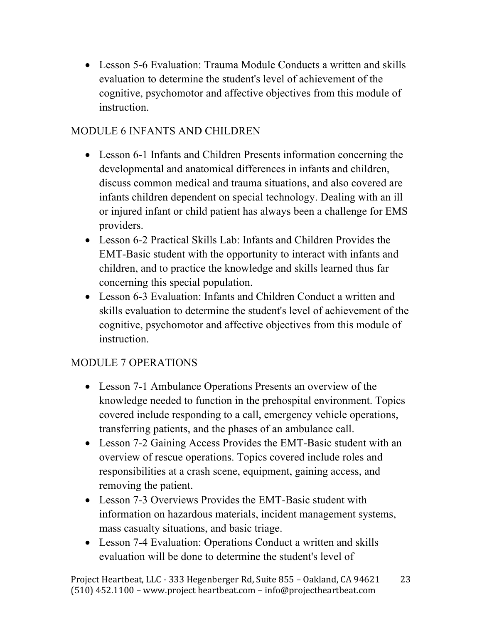• Lesson 5-6 Evaluation: Trauma Module Conducts a written and skills evaluation to determine the student's level of achievement of the cognitive, psychomotor and affective objectives from this module of instruction.

# MODULE 6 INFANTS AND CHILDREN

- Lesson 6-1 Infants and Children Presents information concerning the developmental and anatomical differences in infants and children, discuss common medical and trauma situations, and also covered are infants children dependent on special technology. Dealing with an ill or injured infant or child patient has always been a challenge for EMS providers.
- Lesson 6-2 Practical Skills Lab: Infants and Children Provides the EMT-Basic student with the opportunity to interact with infants and children, and to practice the knowledge and skills learned thus far concerning this special population.
- Lesson 6-3 Evaluation: Infants and Children Conduct a written and skills evaluation to determine the student's level of achievement of the cognitive, psychomotor and affective objectives from this module of instruction.

### MODULE 7 OPERATIONS

- Lesson 7-1 Ambulance Operations Presents an overview of the knowledge needed to function in the prehospital environment. Topics covered include responding to a call, emergency vehicle operations, transferring patients, and the phases of an ambulance call.
- Lesson 7-2 Gaining Access Provides the EMT-Basic student with an overview of rescue operations. Topics covered include roles and responsibilities at a crash scene, equipment, gaining access, and removing the patient.
- Lesson 7-3 Overviews Provides the EMT-Basic student with information on hazardous materials, incident management systems, mass casualty situations, and basic triage.
- Lesson 7-4 Evaluation: Operations Conduct a written and skills evaluation will be done to determine the student's level of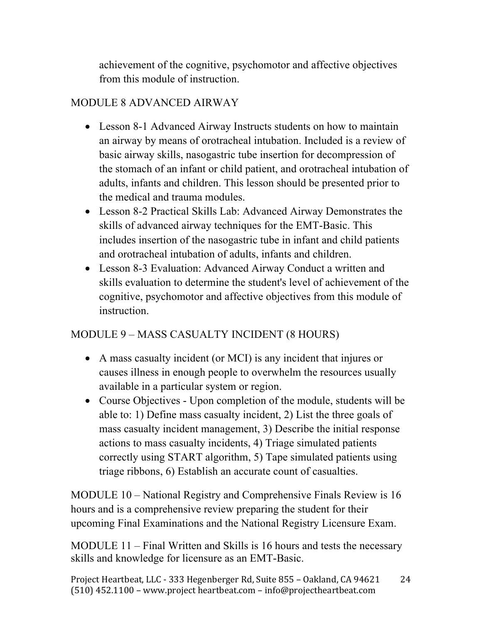achievement of the cognitive, psychomotor and affective objectives from this module of instruction.

### MODULE 8 ADVANCED AIRWAY

- Lesson 8-1 Advanced Airway Instructs students on how to maintain an airway by means of orotracheal intubation. Included is a review of basic airway skills, nasogastric tube insertion for decompression of the stomach of an infant or child patient, and orotracheal intubation of adults, infants and children. This lesson should be presented prior to the medical and trauma modules.
- Lesson 8-2 Practical Skills Lab: Advanced Airway Demonstrates the skills of advanced airway techniques for the EMT-Basic. This includes insertion of the nasogastric tube in infant and child patients and orotracheal intubation of adults, infants and children.
- Lesson 8-3 Evaluation: Advanced Airway Conduct a written and skills evaluation to determine the student's level of achievement of the cognitive, psychomotor and affective objectives from this module of instruction.

### MODULE 9 – MASS CASUALTY INCIDENT (8 HOURS)

- A mass casualty incident (or MCI) is any incident that injures or causes illness in enough people to overwhelm the resources usually available in a particular system or region.
- Course Objectives Upon completion of the module, students will be able to: 1) Define mass casualty incident, 2) List the three goals of mass casualty incident management, 3) Describe the initial response actions to mass casualty incidents, 4) Triage simulated patients correctly using START algorithm, 5) Tape simulated patients using triage ribbons, 6) Establish an accurate count of casualties.

MODULE 10 – National Registry and Comprehensive Finals Review is 16 hours and is a comprehensive review preparing the student for their upcoming Final Examinations and the National Registry Licensure Exam.

MODULE 11 – Final Written and Skills is 16 hours and tests the necessary skills and knowledge for licensure as an EMT-Basic.

Project Heartbeat, LLC - 333 Hegenberger Rd, Suite 855 - Oakland, CA 94621  $(510)$  452.1100 – www.project heartbeat.com – info@projectheartbeat.com 24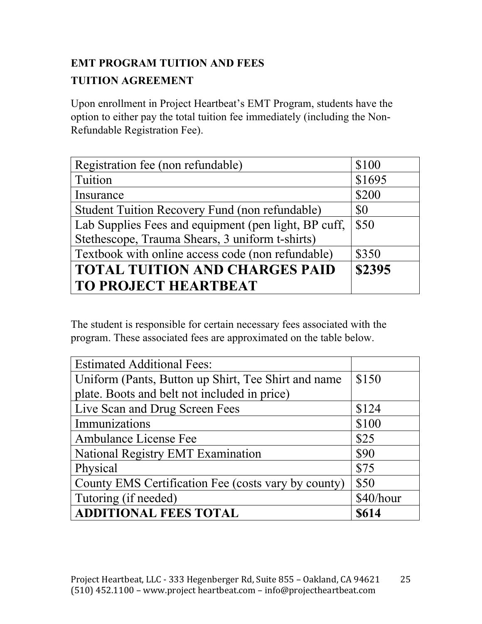# **EMT PROGRAM TUITION AND FEES TUITION AGREEMENT**

Upon enrollment in Project Heartbeat's EMT Program, students have the option to either pay the total tuition fee immediately (including the Non-Refundable Registration Fee).

| Registration fee (non refundable)                    | \$100  |
|------------------------------------------------------|--------|
| Tuition                                              | \$1695 |
| Insurance                                            | \$200  |
| Student Tuition Recovery Fund (non refundable)       | \$0    |
| Lab Supplies Fees and equipment (pen light, BP cuff, | \$50   |
| Stethescope, Trauma Shears, 3 uniform t-shirts)      |        |
| Textbook with online access code (non refundable)    | \$350  |
| <b>TOTAL TUITION AND CHARGES PAID</b>                | \$2395 |
| <b>TO PROJECT HEARTBEAT</b>                          |        |

The student is responsible for certain necessary fees associated with the program. These associated fees are approximated on the table below.

| <b>Estimated Additional Fees:</b>                   |           |
|-----------------------------------------------------|-----------|
| Uniform (Pants, Button up Shirt, Tee Shirt and name | \$150     |
| plate. Boots and belt not included in price)        |           |
| Live Scan and Drug Screen Fees                      | \$124     |
| Immunizations                                       | \$100     |
| Ambulance License Fee                               | \$25      |
| National Registry EMT Examination                   | \$90      |
| Physical                                            | \$75      |
| County EMS Certification Fee (costs vary by county) | \$50      |
| Tutoring (if needed)                                | \$40/hour |
| <b>ADDITIONAL FEES TOTAL</b>                        | \$614     |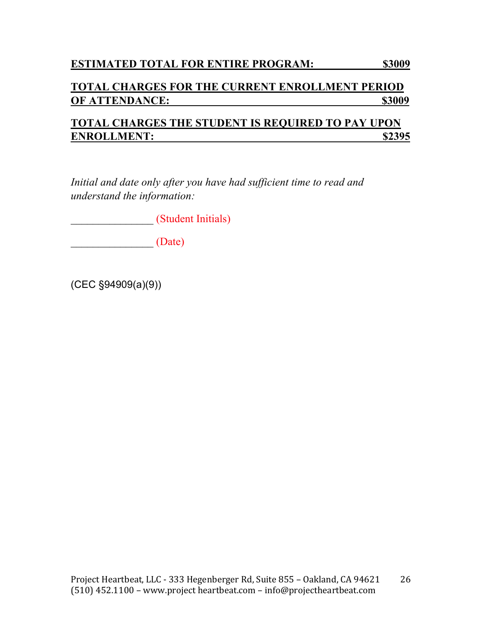#### **ESTIMATED TOTAL FOR ENTIRE PROGRAM: \$3009**

#### **TOTAL CHARGES FOR THE CURRENT ENROLLMENT PERIOD OF ATTENDANCE:** \$3009

### **TOTAL CHARGES THE STUDENT IS REQUIRED TO PAY UPON ENROLLMENT: \$2395**

*Initial and date only after you have had sufficient time to read and understand the information:* 

*\_\_\_\_\_\_\_\_\_\_\_\_\_\_\_* (Student Initials)

*\_\_\_\_\_\_\_\_\_\_\_\_\_\_\_* (Date)

(CEC §94909(a)(9))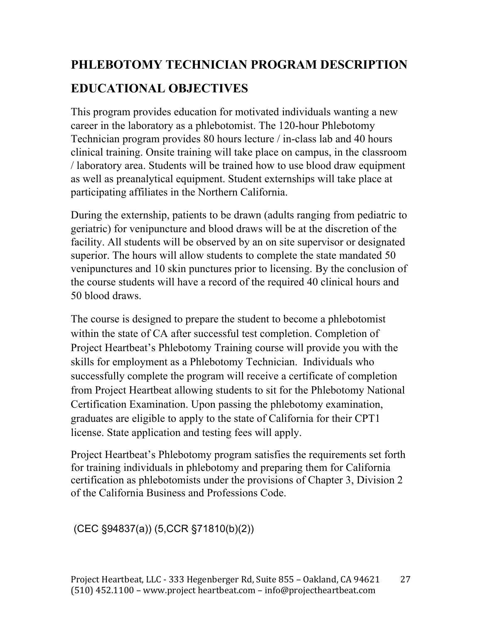# **PHLEBOTOMY TECHNICIAN PROGRAM DESCRIPTION EDUCATIONAL OBJECTIVES**

This program provides education for motivated individuals wanting a new career in the laboratory as a phlebotomist. The 120-hour Phlebotomy Technician program provides 80 hours lecture / in-class lab and 40 hours clinical training. Onsite training will take place on campus, in the classroom / laboratory area. Students will be trained how to use blood draw equipment as well as preanalytical equipment. Student externships will take place at participating affiliates in the Northern California.

During the externship, patients to be drawn (adults ranging from pediatric to geriatric) for venipuncture and blood draws will be at the discretion of the facility. All students will be observed by an on site supervisor or designated superior. The hours will allow students to complete the state mandated 50 venipunctures and 10 skin punctures prior to licensing. By the conclusion of the course students will have a record of the required 40 clinical hours and 50 blood draws.

The course is designed to prepare the student to become a phlebotomist within the state of CA after successful test completion. Completion of Project Heartbeat's Phlebotomy Training course will provide you with the skills for employment as a Phlebotomy Technician. Individuals who successfully complete the program will receive a certificate of completion from Project Heartbeat allowing students to sit for the Phlebotomy National Certification Examination. Upon passing the phlebotomy examination, graduates are eligible to apply to the state of California for their CPT1 license. State application and testing fees will apply.

Project Heartbeat's Phlebotomy program satisfies the requirements set forth for training individuals in phlebotomy and preparing them for California certification as phlebotomists under the provisions of Chapter 3, Division 2 of the California Business and Professions Code.

# (CEC §94837(a)) (5,CCR §71810(b)(2))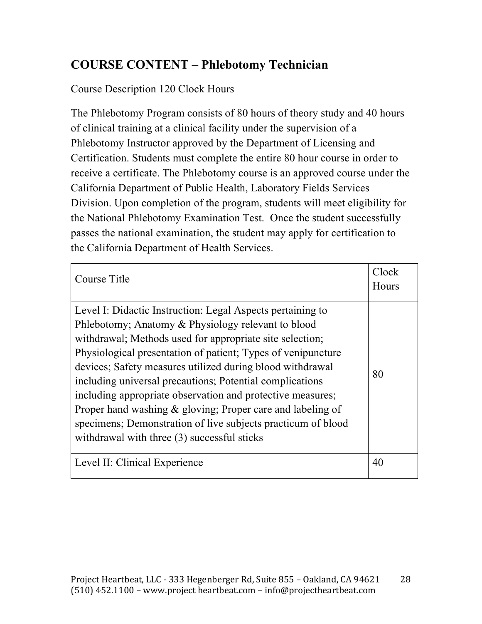# **COURSE CONTENT – Phlebotomy Technician**

# Course Description 120 Clock Hours

The Phlebotomy Program consists of 80 hours of theory study and 40 hours of clinical training at a clinical facility under the supervision of a Phlebotomy Instructor approved by the Department of Licensing and Certification. Students must complete the entire 80 hour course in order to receive a certificate. The Phlebotomy course is an approved course under the California Department of Public Health, Laboratory Fields Services Division. Upon completion of the program, students will meet eligibility for the National Phlebotomy Examination Test. Once the student successfully passes the national examination, the student may apply for certification to the California Department of Health Services.

| Course Title                                                                                                                                                                                                                                                                                                                                                                                                                                                                                                                                                                                                     | Clock<br>Hours |
|------------------------------------------------------------------------------------------------------------------------------------------------------------------------------------------------------------------------------------------------------------------------------------------------------------------------------------------------------------------------------------------------------------------------------------------------------------------------------------------------------------------------------------------------------------------------------------------------------------------|----------------|
| Level I: Didactic Instruction: Legal Aspects pertaining to<br>Phlebotomy; Anatomy & Physiology relevant to blood<br>withdrawal; Methods used for appropriate site selection;<br>Physiological presentation of patient; Types of venipuncture<br>devices; Safety measures utilized during blood withdrawal<br>including universal precautions; Potential complications<br>including appropriate observation and protective measures;<br>Proper hand washing & gloving; Proper care and labeling of<br>specimens; Demonstration of live subjects practicum of blood<br>withdrawal with three (3) successful sticks | 80             |
| Level II: Clinical Experience                                                                                                                                                                                                                                                                                                                                                                                                                                                                                                                                                                                    | 40             |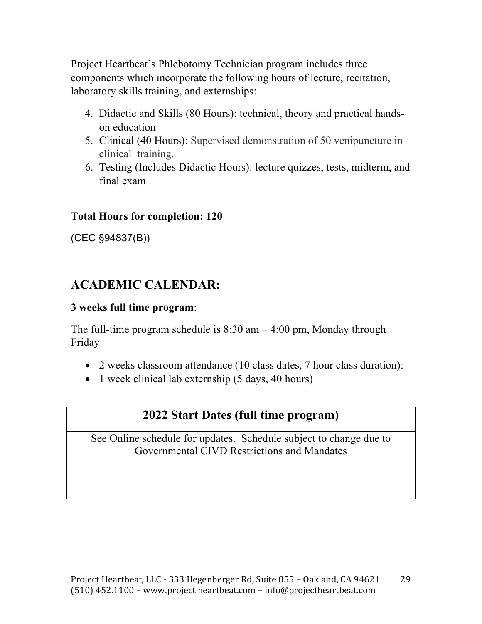Project Heartbeat's Phlebotomy Technician program includes three components which incorporate the following hours of lecture, recitation, laboratory skills training, and externships:

- 4. Didactic and Skills (80 Hours): technical, theory and practical handson education
- 5. Clinical (40 Hours): Supervised demonstration of 50 venipuncture in clinical training.
- 6. Testing (Includes Didactic Hours): lecture quizzes, tests, midterm, and final exam

### **Total Hours for completion: 120**

(CEC §94837(B))

# **ACADEMIC CALENDAR:**

#### **3 weeks full time program**:

The full-time program schedule is  $8:30$  am  $-4:00$  pm, Monday through Friday

- 2 weeks classroom attendance (10 class dates, 7 hour class duration):
- 1 week clinical lab externship (5 days, 40 hours)

# **2022 Start Dates (full time program)**

See Online schedule for updates. Schedule subject to change due to Governmental CIVD Restrictions and Mandates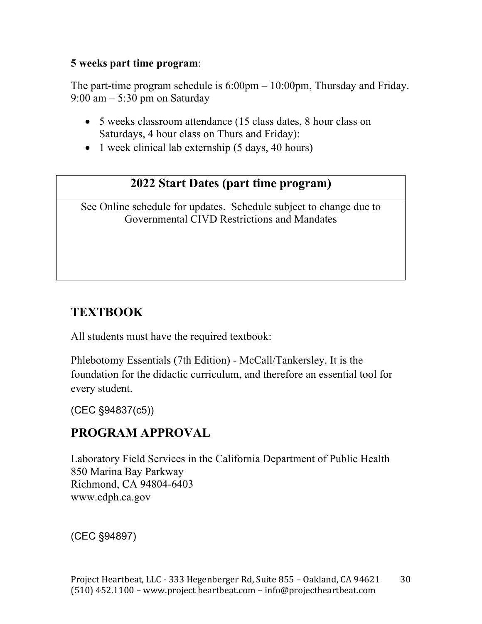### **5 weeks part time program**:

The part-time program schedule is 6:00pm – 10:00pm, Thursday and Friday. 9:00 am – 5:30 pm on Saturday

- 5 weeks classroom attendance (15 class dates, 8 hour class on Saturdays, 4 hour class on Thurs and Friday):
- 1 week clinical lab externship (5 days, 40 hours)

# **2022 Start Dates (part time program)**

See Online schedule for updates. Schedule subject to change due to Governmental CIVD Restrictions and Mandates

# **TEXTBOOK**

All students must have the required textbook:

Phlebotomy Essentials (7th Edition) - McCall/Tankersley. It is the foundation for the didactic curriculum, and therefore an essential tool for every student.

(CEC §94837(c5))

# **PROGRAM APPROVAL**

Laboratory Field Services in the California Department of Public Health 850 Marina Bay Parkway Richmond, CA 94804-6403 www.cdph.ca.gov

(CEC §94897)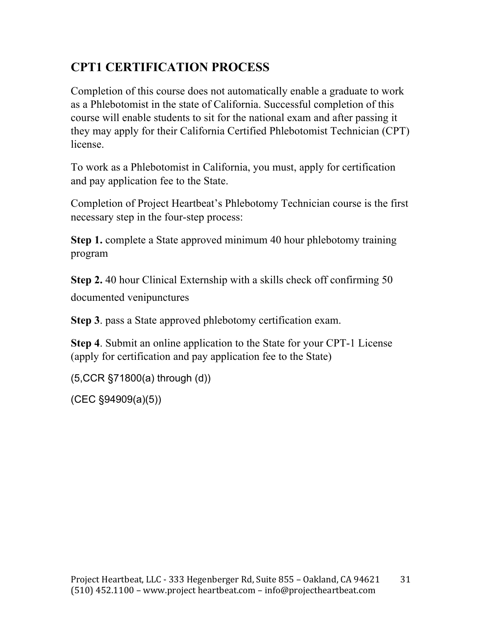# **CPT1 CERTIFICATION PROCESS**

Completion of this course does not automatically enable a graduate to work as a Phlebotomist in the state of California. Successful completion of this course will enable students to sit for the national exam and after passing it they may apply for their California Certified Phlebotomist Technician (CPT) license.

To work as a Phlebotomist in California, you must, apply for certification and pay application fee to the State.

Completion of Project Heartbeat's Phlebotomy Technician course is the first necessary step in the four-step process:

**Step 1.** complete a State approved minimum 40 hour phlebotomy training program

**Step 2.** 40 hour Clinical Externship with a skills check off confirming 50 documented venipunctures

**Step 3**. pass a State approved phlebotomy certification exam.

**Step 4**. Submit an online application to the State for your CPT-1 License (apply for certification and pay application fee to the State)

(5,CCR §71800(a) through (d))

(CEC §94909(a)(5))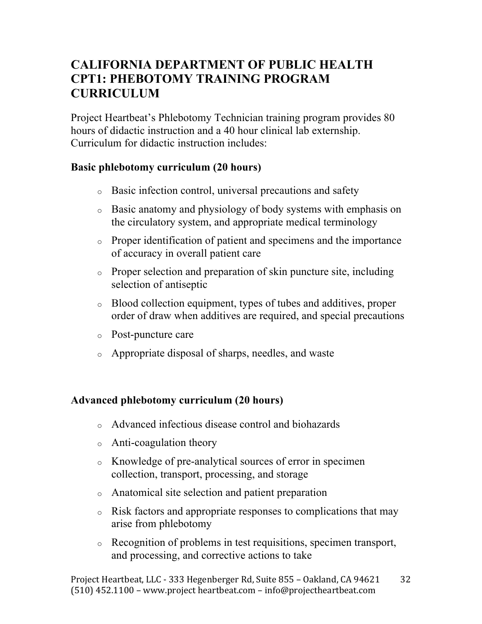# **CALIFORNIA DEPARTMENT OF PUBLIC HEALTH CPT1: PHEBOTOMY TRAINING PROGRAM CURRICULUM**

Project Heartbeat's Phlebotomy Technician training program provides 80 hours of didactic instruction and a 40 hour clinical lab externship. Curriculum for didactic instruction includes:

#### **Basic phlebotomy curriculum (20 hours)**

- o Basic infection control, universal precautions and safety
- o Basic anatomy and physiology of body systems with emphasis on the circulatory system, and appropriate medical terminology
- o Proper identification of patient and specimens and the importance of accuracy in overall patient care
- o Proper selection and preparation of skin puncture site, including selection of antiseptic
- o Blood collection equipment, types of tubes and additives, proper order of draw when additives are required, and special precautions
- o Post-puncture care
- o Appropriate disposal of sharps, needles, and waste

### **Advanced phlebotomy curriculum (20 hours)**

- o Advanced infectious disease control and biohazards
- o Anti-coagulation theory
- o Knowledge of pre-analytical sources of error in specimen collection, transport, processing, and storage
- o Anatomical site selection and patient preparation
- o Risk factors and appropriate responses to complications that may arise from phlebotomy
- o Recognition of problems in test requisitions, specimen transport, and processing, and corrective actions to take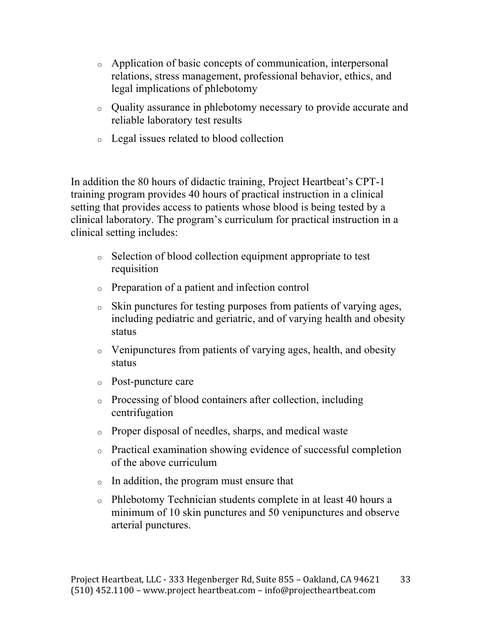- o Application of basic concepts of communication, interpersonal relations, stress management, professional behavior, ethics, and legal implications of phlebotomy
- o Quality assurance in phlebotomy necessary to provide accurate and reliable laboratory test results
- o Legal issues related to blood collection

In addition the 80 hours of didactic training, Project Heartbeat's CPT-1 training program provides 40 hours of practical instruction in a clinical setting that provides access to patients whose blood is being tested by a clinical laboratory. The program's curriculum for practical instruction in a clinical setting includes:

- o Selection of blood collection equipment appropriate to test requisition
- o Preparation of a patient and infection control
- o Skin punctures for testing purposes from patients of varying ages, including pediatric and geriatric, and of varying health and obesity status
- o Venipunctures from patients of varying ages, health, and obesity status
- o Post-puncture care
- o Processing of blood containers after collection, including centrifugation
- o Proper disposal of needles, sharps, and medical waste
- o Practical examination showing evidence of successful completion of the above curriculum
- o In addition, the program must ensure that
- o Phlebotomy Technician students complete in at least 40 hours a minimum of 10 skin punctures and 50 venipunctures and observe arterial punctures.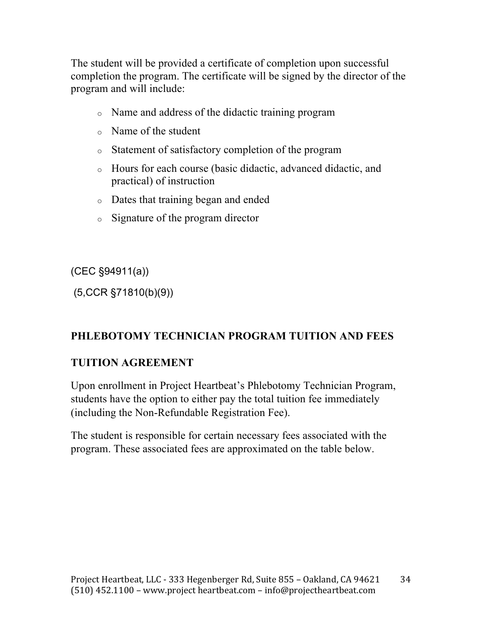The student will be provided a certificate of completion upon successful completion the program. The certificate will be signed by the director of the program and will include:

- o Name and address of the didactic training program
- o Name of the student
- o Statement of satisfactory completion of the program
- o Hours for each course (basic didactic, advanced didactic, and practical) of instruction
- o Dates that training began and ended
- o Signature of the program director

(CEC §94911(a))

(5,CCR §71810(b)(9))

# **PHLEBOTOMY TECHNICIAN PROGRAM TUITION AND FEES**

### **TUITION AGREEMENT**

Upon enrollment in Project Heartbeat's Phlebotomy Technician Program, students have the option to either pay the total tuition fee immediately (including the Non-Refundable Registration Fee).

The student is responsible for certain necessary fees associated with the program. These associated fees are approximated on the table below.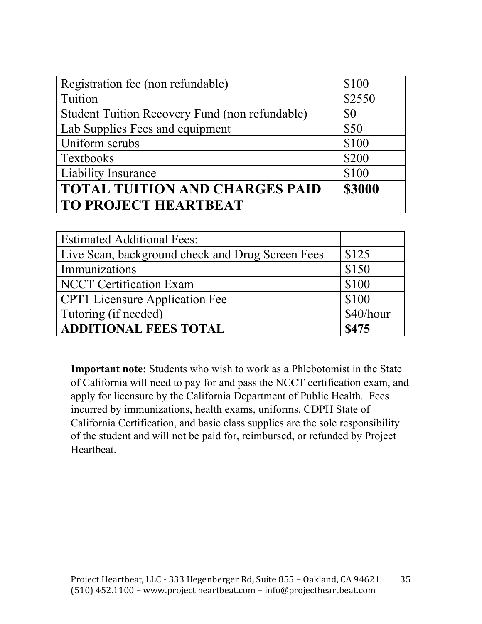| Registration fee (non refundable)              | \$100         |
|------------------------------------------------|---------------|
| Tuition                                        | \$2550        |
| Student Tuition Recovery Fund (non refundable) | \$0           |
| Lab Supplies Fees and equipment                | \$50          |
| Uniform scrubs                                 | \$100         |
| Textbooks                                      | \$200         |
| <b>Liability Insurance</b>                     | \$100         |
| <b>TOTAL TUITION AND CHARGES PAID</b>          | <b>\$3000</b> |
| <b>TO PROJECT HEARTBEAT</b>                    |               |

| <b>Estimated Additional Fees:</b>                |           |
|--------------------------------------------------|-----------|
| Live Scan, background check and Drug Screen Fees | \$125     |
| Immunizations                                    | \$150     |
| <b>NCCT</b> Certification Exam                   | \$100     |
| <b>CPT1</b> Licensure Application Fee            | \$100     |
| Tutoring (if needed)                             | \$40/hour |
| <b>ADDITIONAL FEES TOTAL</b>                     | \$475     |

**Important note:** Students who wish to work as a Phlebotomist in the State of California will need to pay for and pass the NCCT certification exam, and apply for licensure by the California Department of Public Health. Fees incurred by immunizations, health exams, uniforms, CDPH State of California Certification, and basic class supplies are the sole responsibility of the student and will not be paid for, reimbursed, or refunded by Project Heartbeat.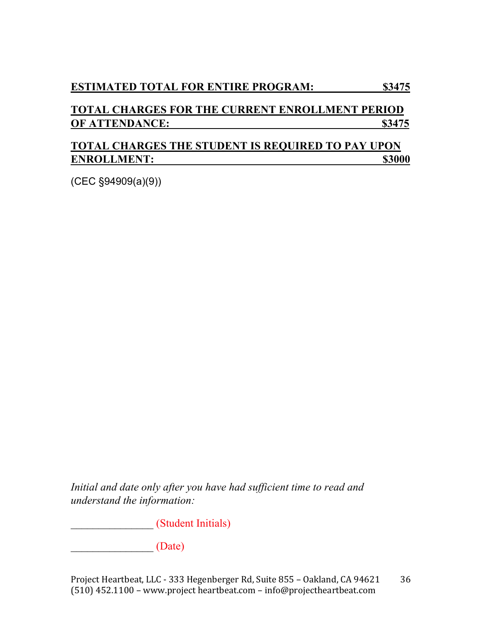### **TOTAL CHARGES FOR THE CURRENT ENROLLMENT PERIOD OF ATTENDANCE:** \$3475

### **TOTAL CHARGES THE STUDENT IS REQUIRED TO PAY UPON ENROLLMENT:** \$3000

(CEC §94909(a)(9))

*Initial and date only after you have had sufficient time to read and understand the information:* 

*\_\_\_\_\_\_\_\_\_\_\_\_\_\_\_* (Student Initials)

*\_\_\_\_\_\_\_\_\_\_\_\_\_\_\_* (Date)

Project Heartbeat, LLC - 333 Hegenberger Rd, Suite 855 - Oakland, CA 94621 (510)  $452.1100$  – www.project heartbeat.com – info@projectheartbeat.com 36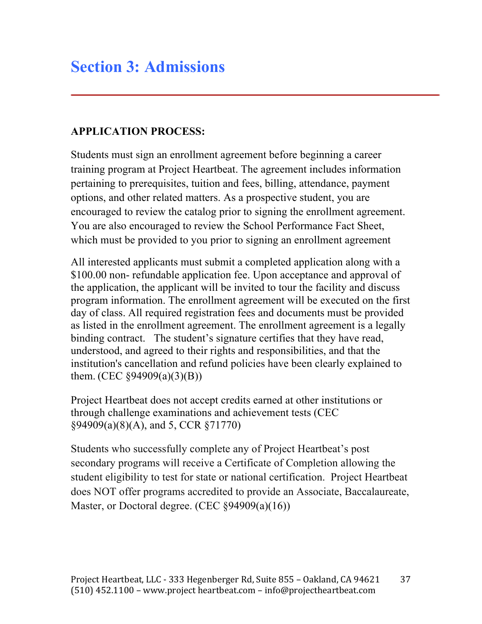### **APPLICATION PROCESS:**

Students must sign an enrollment agreement before beginning a career training program at Project Heartbeat. The agreement includes information pertaining to prerequisites, tuition and fees, billing, attendance, payment options, and other related matters. As a prospective student, you are encouraged to review the catalog prior to signing the enrollment agreement. You are also encouraged to review the School Performance Fact Sheet, which must be provided to you prior to signing an enrollment agreement

All interested applicants must submit a completed application along with a \$100.00 non- refundable application fee. Upon acceptance and approval of the application, the applicant will be invited to tour the facility and discuss program information. The enrollment agreement will be executed on the first day of class. All required registration fees and documents must be provided as listed in the enrollment agreement. The enrollment agreement is a legally binding contract. The student's signature certifies that they have read, understood, and agreed to their rights and responsibilities, and that the institution's cancellation and refund policies have been clearly explained to them. (CEC  $\S 94909(a)(3)(B)$ )

Project Heartbeat does not accept credits earned at other institutions or through challenge examinations and achievement tests (CEC §94909(a)(8)(A), and 5, CCR §71770)

Students who successfully complete any of Project Heartbeat's post secondary programs will receive a Certificate of Completion allowing the student eligibility to test for state or national certification. Project Heartbeat does NOT offer programs accredited to provide an Associate, Baccalaureate, Master, or Doctoral degree. (CEC §94909(a)(16))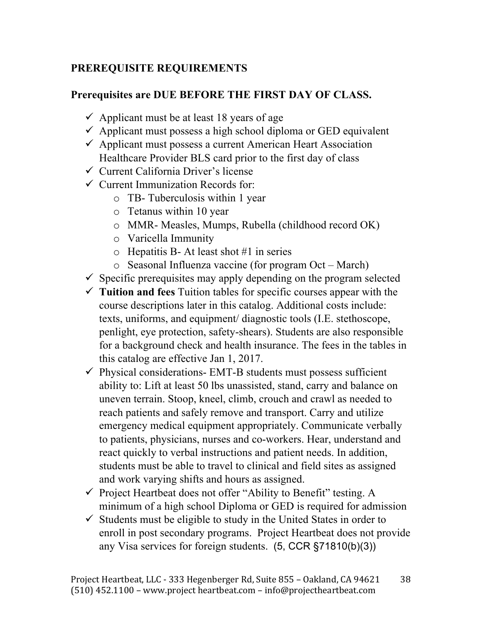### **PREREQUISITE REQUIREMENTS**

### **Prerequisites are DUE BEFORE THE FIRST DAY OF CLASS.**

- $\checkmark$  Applicant must be at least 18 years of age
- $\checkmark$  Applicant must possess a high school diploma or GED equivalent
- $\checkmark$  Applicant must possess a current American Heart Association Healthcare Provider BLS card prior to the first day of class
- $\checkmark$  Current California Driver's license
- $\checkmark$  Current Immunization Records for:
	- o TB- Tuberculosis within 1 year
	- o Tetanus within 10 year
	- o MMR- Measles, Mumps, Rubella (childhood record OK)
	- o Varicella Immunity
	- $\circ$  Hepatitis B- At least shot #1 in series
	- o Seasonal Influenza vaccine (for program Oct March)
- $\checkmark$  Specific prerequisites may apply depending on the program selected
- $\checkmark$  **Tuition and fees** Tuition tables for specific courses appear with the course descriptions later in this catalog. Additional costs include: texts, uniforms, and equipment/ diagnostic tools (I.E. stethoscope, penlight, eye protection, safety-shears). Students are also responsible for a background check and health insurance. The fees in the tables in this catalog are effective Jan 1, 2017.
- $\checkmark$  Physical considerations- EMT-B students must possess sufficient ability to: Lift at least 50 lbs unassisted, stand, carry and balance on uneven terrain. Stoop, kneel, climb, crouch and crawl as needed to reach patients and safely remove and transport. Carry and utilize emergency medical equipment appropriately. Communicate verbally to patients, physicians, nurses and co-workers. Hear, understand and react quickly to verbal instructions and patient needs. In addition, students must be able to travel to clinical and field sites as assigned and work varying shifts and hours as assigned.
- $\checkmark$  Project Heartbeat does not offer "Ability to Benefit" testing. A minimum of a high school Diploma or GED is required for admission
- $\checkmark$  Students must be eligible to study in the United States in order to enroll in post secondary programs. Project Heartbeat does not provide any Visa services for foreign students. (5, CCR §71810(b)(3))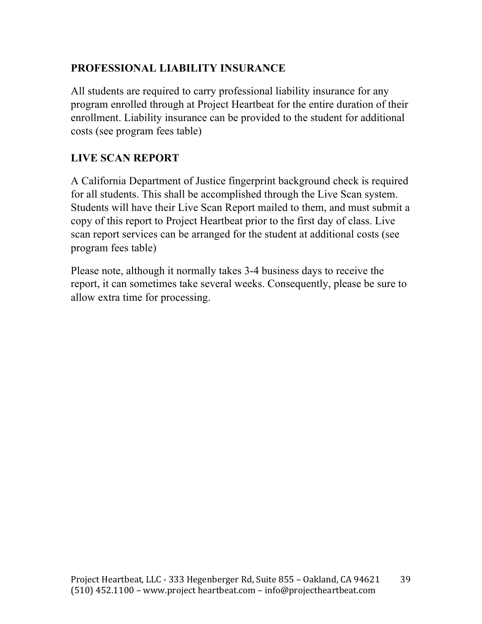### **PROFESSIONAL LIABILITY INSURANCE**

All students are required to carry professional liability insurance for any program enrolled through at Project Heartbeat for the entire duration of their enrollment. Liability insurance can be provided to the student for additional costs (see program fees table)

### **LIVE SCAN REPORT**

A California Department of Justice fingerprint background check is required for all students. This shall be accomplished through the Live Scan system. Students will have their Live Scan Report mailed to them, and must submit a copy of this report to Project Heartbeat prior to the first day of class. Live scan report services can be arranged for the student at additional costs (see program fees table)

Please note, although it normally takes 3-4 business days to receive the report, it can sometimes take several weeks. Consequently, please be sure to allow extra time for processing.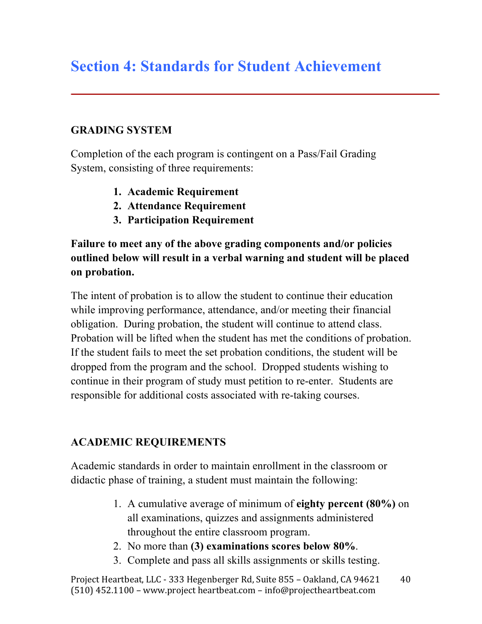# **Section 4: Standards for Student Achievement**

### **GRADING SYSTEM**

Completion of the each program is contingent on a Pass/Fail Grading System, consisting of three requirements:

- **1. Academic Requirement**
- **2. Attendance Requirement**
- **3. Participation Requirement**

### **Failure to meet any of the above grading components and/or policies outlined below will result in a verbal warning and student will be placed on probation.**

The intent of probation is to allow the student to continue their education while improving performance, attendance, and/or meeting their financial obligation. During probation, the student will continue to attend class. Probation will be lifted when the student has met the conditions of probation. If the student fails to meet the set probation conditions, the student will be dropped from the program and the school. Dropped students wishing to continue in their program of study must petition to re-enter. Students are responsible for additional costs associated with re-taking courses.

### **ACADEMIC REQUIREMENTS**

Academic standards in order to maintain enrollment in the classroom or didactic phase of training, a student must maintain the following:

- 1. A cumulative average of minimum of **eighty percent (80%)** on all examinations, quizzes and assignments administered throughout the entire classroom program.
- 2. No more than **(3) examinations scores below 80%**.
- 3. Complete and pass all skills assignments or skills testing.

Project Heartbeat, LLC - 333 Hegenberger Rd, Suite 855 - Oakland, CA 94621  $(510)$  452.1100 – www.project heartbeat.com – info@projectheartbeat.com 40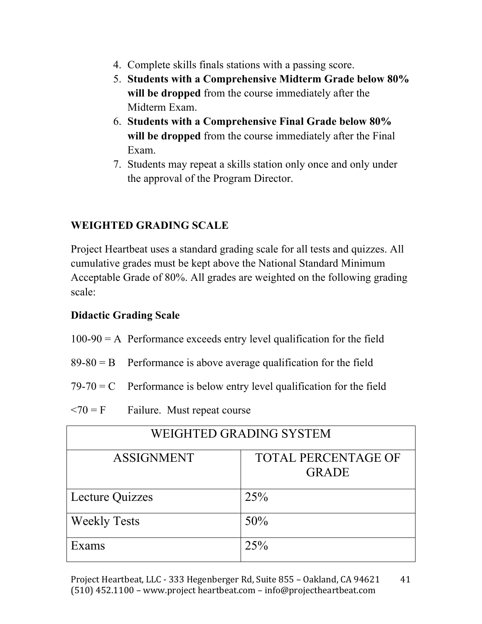- 4. Complete skills finals stations with a passing score.
- 5. **Students with a Comprehensive Midterm Grade below 80% will be dropped** from the course immediately after the Midterm Exam.
- 6. **Students with a Comprehensive Final Grade below 80% will be dropped** from the course immediately after the Final Exam.
- 7. Students may repeat a skills station only once and only under the approval of the Program Director.

### **WEIGHTED GRADING SCALE**

Project Heartbeat uses a standard grading scale for all tests and quizzes. All cumulative grades must be kept above the National Standard Minimum Acceptable Grade of 80%. All grades are weighted on the following grading scale:

### **Didactic Grading Scale**

- $100-90 = A$  Performance exceeds entry level qualification for the field
- $89-80 = B$  Performance is above average qualification for the field
- $79-70 = C$  Performance is below entry level qualification for the field
- $\langle 70 = F$  Failure. Must repeat course

| WEIGHTED GRADING SYSTEM |                                            |  |  |  |
|-------------------------|--------------------------------------------|--|--|--|
| <b>ASSIGNMENT</b>       | <b>TOTAL PERCENTAGE OF</b><br><b>GRADE</b> |  |  |  |
| Lecture Quizzes         | 25%                                        |  |  |  |
| <b>Weekly Tests</b>     | 50%                                        |  |  |  |
| Exams                   | 25%                                        |  |  |  |

Project Heartbeat, LLC - 333 Hegenberger Rd, Suite 855 - Oakland, CA 94621 (510) 452.1100 - www.project heartbeat.com - info@projectheartbeat.com 41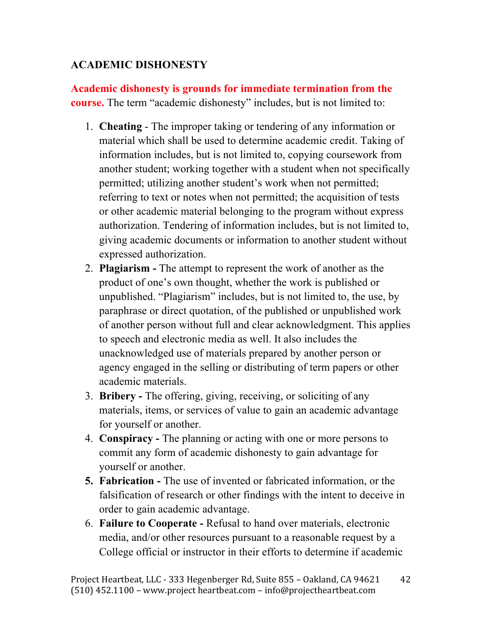### **ACADEMIC DISHONESTY**

**Academic dishonesty is grounds for immediate termination from the course.** The term "academic dishonesty" includes, but is not limited to:

- 1. **Cheating**  The improper taking or tendering of any information or material which shall be used to determine academic credit. Taking of information includes, but is not limited to, copying coursework from another student; working together with a student when not specifically permitted; utilizing another student's work when not permitted; referring to text or notes when not permitted; the acquisition of tests or other academic material belonging to the program without express authorization. Tendering of information includes, but is not limited to, giving academic documents or information to another student without expressed authorization.
- 2. **Plagiarism -** The attempt to represent the work of another as the product of one's own thought, whether the work is published or unpublished. "Plagiarism" includes, but is not limited to, the use, by paraphrase or direct quotation, of the published or unpublished work of another person without full and clear acknowledgment. This applies to speech and electronic media as well. It also includes the unacknowledged use of materials prepared by another person or agency engaged in the selling or distributing of term papers or other academic materials.
- 3. **Bribery -** The offering, giving, receiving, or soliciting of any materials, items, or services of value to gain an academic advantage for yourself or another.
- 4. **Conspiracy -** The planning or acting with one or more persons to commit any form of academic dishonesty to gain advantage for yourself or another.
- **5. Fabrication -** The use of invented or fabricated information, or the falsification of research or other findings with the intent to deceive in order to gain academic advantage.
- 6. **Failure to Cooperate -** Refusal to hand over materials, electronic media, and/or other resources pursuant to a reasonable request by a College official or instructor in their efforts to determine if academic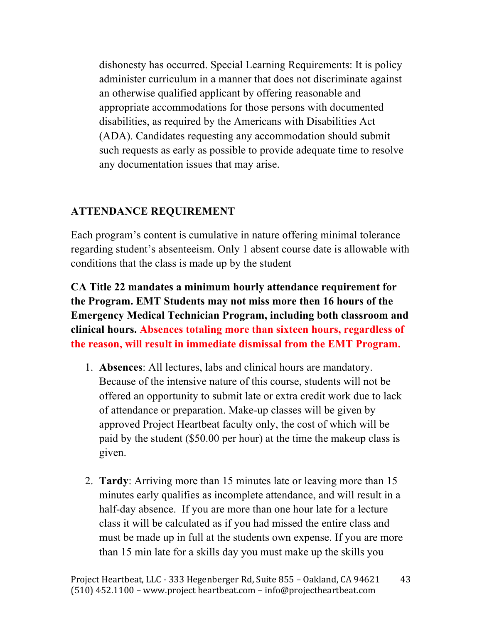dishonesty has occurred. Special Learning Requirements: It is policy administer curriculum in a manner that does not discriminate against an otherwise qualified applicant by offering reasonable and appropriate accommodations for those persons with documented disabilities, as required by the Americans with Disabilities Act (ADA). Candidates requesting any accommodation should submit such requests as early as possible to provide adequate time to resolve any documentation issues that may arise.

### **ATTENDANCE REQUIREMENT**

Each program's content is cumulative in nature offering minimal tolerance regarding student's absenteeism. Only 1 absent course date is allowable with conditions that the class is made up by the student

**CA Title 22 mandates a minimum hourly attendance requirement for the Program. EMT Students may not miss more then 16 hours of the Emergency Medical Technician Program, including both classroom and clinical hours. Absences totaling more than sixteen hours, regardless of the reason, will result in immediate dismissal from the EMT Program.** 

- 1. **Absences**: All lectures, labs and clinical hours are mandatory. Because of the intensive nature of this course, students will not be offered an opportunity to submit late or extra credit work due to lack of attendance or preparation. Make-up classes will be given by approved Project Heartbeat faculty only, the cost of which will be paid by the student (\$50.00 per hour) at the time the makeup class is given.
- 2. **Tardy**: Arriving more than 15 minutes late or leaving more than 15 minutes early qualifies as incomplete attendance, and will result in a half-day absence. If you are more than one hour late for a lecture class it will be calculated as if you had missed the entire class and must be made up in full at the students own expense. If you are more than 15 min late for a skills day you must make up the skills you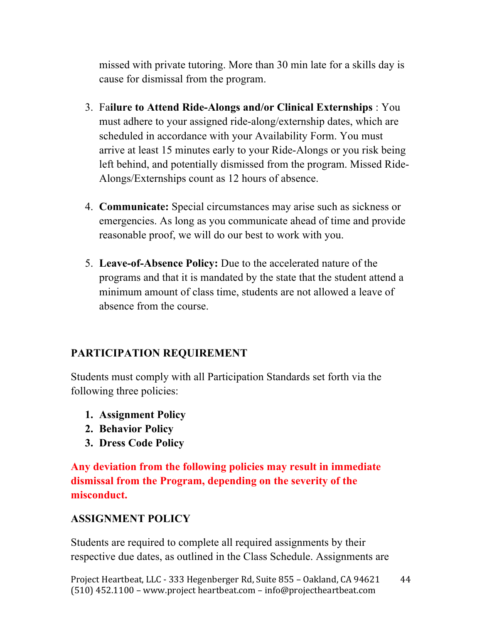missed with private tutoring. More than 30 min late for a skills day is cause for dismissal from the program.

- 3. Fa**ilure to Attend Ride-Alongs and/or Clinical Externships** : You must adhere to your assigned ride-along/externship dates, which are scheduled in accordance with your Availability Form. You must arrive at least 15 minutes early to your Ride-Alongs or you risk being left behind, and potentially dismissed from the program. Missed Ride-Alongs/Externships count as 12 hours of absence.
- 4. **Communicate:** Special circumstances may arise such as sickness or emergencies. As long as you communicate ahead of time and provide reasonable proof, we will do our best to work with you.
- 5. **Leave-of-Absence Policy:** Due to the accelerated nature of the programs and that it is mandated by the state that the student attend a minimum amount of class time, students are not allowed a leave of absence from the course.

### **PARTICIPATION REQUIREMENT**

Students must comply with all Participation Standards set forth via the following three policies:

- **1. Assignment Policy**
- **2. Behavior Policy**
- **3. Dress Code Policy**

**Any deviation from the following policies may result in immediate dismissal from the Program, depending on the severity of the misconduct.** 

#### **ASSIGNMENT POLICY**

Students are required to complete all required assignments by their respective due dates, as outlined in the Class Schedule. Assignments are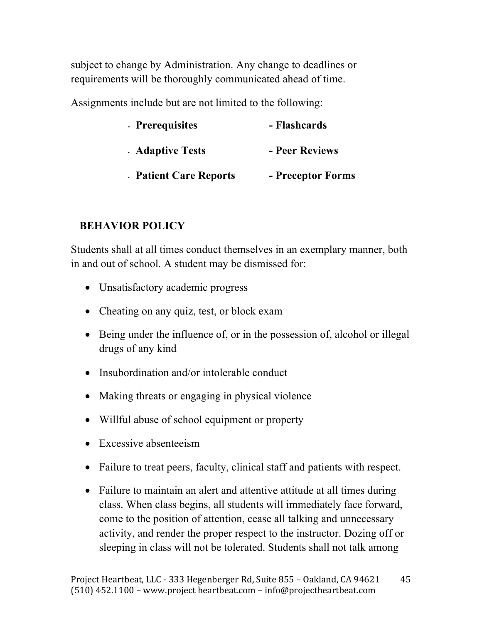subject to change by Administration. Any change to deadlines or requirements will be thoroughly communicated ahead of time.

Assignments include but are not limited to the following:

| - Prerequisites             | - Flashcards      |  |  |
|-----------------------------|-------------------|--|--|
| <b>Adaptive Tests</b>       | - Peer Reviews    |  |  |
| <b>Patient Care Reports</b> | - Preceptor Forms |  |  |

### **BEHAVIOR POLICY**

Students shall at all times conduct themselves in an exemplary manner, both in and out of school. A student may be dismissed for:

- Unsatisfactory academic progress
- Cheating on any quiz, test, or block exam
- Being under the influence of, or in the possession of, alcohol or illegal drugs of any kind
- Insubordination and/or intolerable conduct
- Making threats or engaging in physical violence
- Willful abuse of school equipment or property
- Excessive absenteeism
- Failure to treat peers, faculty, clinical staff and patients with respect.
- Failure to maintain an alert and attentive attitude at all times during class. When class begins, all students will immediately face forward, come to the position of attention, cease all talking and unnecessary activity, and render the proper respect to the instructor. Dozing off or sleeping in class will not be tolerated. Students shall not talk among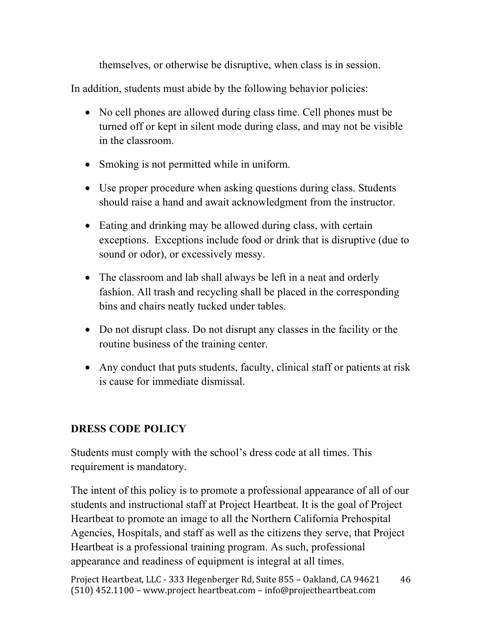themselves, or otherwise be disruptive, when class is in session.

In addition, students must abide by the following behavior policies:

- No cell phones are allowed during class time. Cell phones must be turned off or kept in silent mode during class, and may not be visible in the classroom.
- Smoking is not permitted while in uniform.
- Use proper procedure when asking questions during class. Students should raise a hand and await acknowledgment from the instructor.
- Eating and drinking may be allowed during class, with certain exceptions. Exceptions include food or drink that is disruptive (due to sound or odor), or excessively messy.
- The classroom and lab shall always be left in a neat and orderly fashion. All trash and recycling shall be placed in the corresponding bins and chairs neatly tucked under tables.
- Do not disrupt class. Do not disrupt any classes in the facility or the routine business of the training center.
- Any conduct that puts students, faculty, clinical staff or patients at risk is cause for immediate dismissal.

# **DRESS CODE POLICY**

Students must comply with the school's dress code at all times. This requirement is mandatory.

The intent of this policy is to promote a professional appearance of all of our students and instructional staff at Project Heartbeat. It is the goal of Project Heartbeat to promote an image to all the Northern California Prehospital Agencies, Hospitals, and staff as well as the citizens they serve, that Project Heartbeat is a professional training program. As such, professional appearance and readiness of equipment is integral at all times.

Project Heartbeat, LLC - 333 Hegenberger Rd, Suite 855 - Oakland, CA 94621  $(510)$  452.1100 – www.project heartbeat.com – info@projectheartbeat.com 46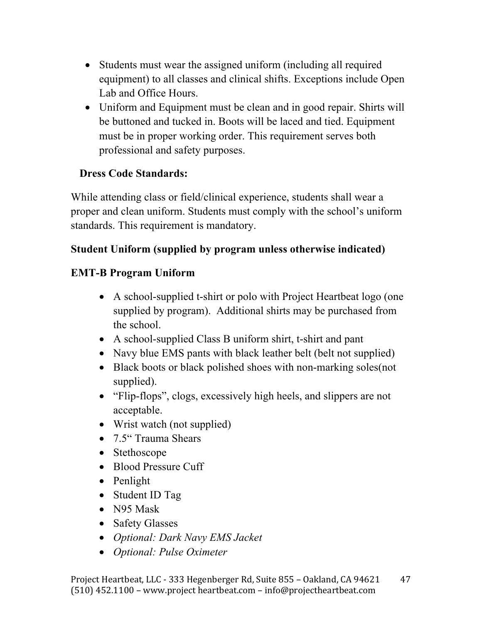- Students must wear the assigned uniform (including all required equipment) to all classes and clinical shifts. Exceptions include Open Lab and Office Hours.
- Uniform and Equipment must be clean and in good repair. Shirts will be buttoned and tucked in. Boots will be laced and tied. Equipment must be in proper working order. This requirement serves both professional and safety purposes.

### **Dress Code Standards:**

While attending class or field/clinical experience, students shall wear a proper and clean uniform. Students must comply with the school's uniform standards. This requirement is mandatory.

### **Student Uniform (supplied by program unless otherwise indicated)**

### **EMT-B Program Uniform**

- A school-supplied t-shirt or polo with Project Heartbeat logo (one supplied by program). Additional shirts may be purchased from the school.
- A school-supplied Class B uniform shirt, t-shirt and pant
- Navy blue EMS pants with black leather belt (belt not supplied)
- Black boots or black polished shoes with non-marking soles (not supplied).
- "Flip-flops", clogs, excessively high heels, and slippers are not acceptable.
- Wrist watch (not supplied)
- 7.5" Trauma Shears
- Stethoscope
- Blood Pressure Cuff
- Penlight
- Student ID Tag
- N95 Mask
- Safety Glasses
- *Optional: Dark Navy EMS Jacket*
- *Optional: Pulse Oximeter*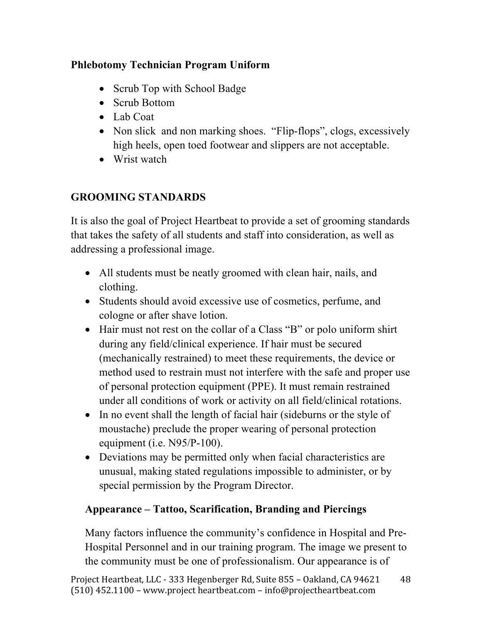### **Phlebotomy Technician Program Uniform**

- Scrub Top with School Badge
- Scrub Bottom
- Lab Coat
- Non slick and non marking shoes. "Flip-flops", clogs, excessively high heels, open toed footwear and slippers are not acceptable.
- Wrist watch

# **GROOMING STANDARDS**

It is also the goal of Project Heartbeat to provide a set of grooming standards that takes the safety of all students and staff into consideration, as well as addressing a professional image.

- All students must be neatly groomed with clean hair, nails, and clothing.
- Students should avoid excessive use of cosmetics, perfume, and cologne or after shave lotion.
- Hair must not rest on the collar of a Class "B" or polo uniform shirt during any field/clinical experience. If hair must be secured (mechanically restrained) to meet these requirements, the device or method used to restrain must not interfere with the safe and proper use of personal protection equipment (PPE). It must remain restrained under all conditions of work or activity on all field/clinical rotations.
- In no event shall the length of facial hair (sideburns or the style of moustache) preclude the proper wearing of personal protection equipment (i.e. N95/P-100).
- Deviations may be permitted only when facial characteristics are unusual, making stated regulations impossible to administer, or by special permission by the Program Director.

# **Appearance – Tattoo, Scarification, Branding and Piercings**

Many factors influence the community's confidence in Hospital and Pre-Hospital Personnel and in our training program. The image we present to the community must be one of professionalism. Our appearance is of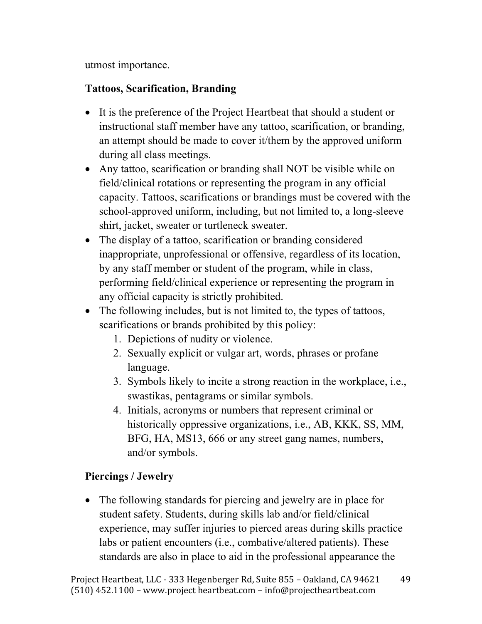utmost importance.

### **Tattoos, Scarification, Branding**

- It is the preference of the Project Heartbeat that should a student or instructional staff member have any tattoo, scarification, or branding, an attempt should be made to cover it/them by the approved uniform during all class meetings.
- Any tattoo, scarification or branding shall NOT be visible while on field/clinical rotations or representing the program in any official capacity. Tattoos, scarifications or brandings must be covered with the school-approved uniform, including, but not limited to, a long-sleeve shirt, jacket, sweater or turtleneck sweater.
- The display of a tattoo, scarification or branding considered inappropriate, unprofessional or offensive, regardless of its location, by any staff member or student of the program, while in class, performing field/clinical experience or representing the program in any official capacity is strictly prohibited.
- The following includes, but is not limited to, the types of tattoos, scarifications or brands prohibited by this policy:
	- 1. Depictions of nudity or violence.
	- 2. Sexually explicit or vulgar art, words, phrases or profane language.
	- 3. Symbols likely to incite a strong reaction in the workplace, i.e., swastikas, pentagrams or similar symbols.
	- 4. Initials, acronyms or numbers that represent criminal or historically oppressive organizations, i.e., AB, KKK, SS, MM, BFG, HA, MS13, 666 or any street gang names, numbers, and/or symbols.

# **Piercings / Jewelry**

• The following standards for piercing and jewelry are in place for student safety. Students, during skills lab and/or field/clinical experience, may suffer injuries to pierced areas during skills practice labs or patient encounters (i.e., combative/altered patients). These standards are also in place to aid in the professional appearance the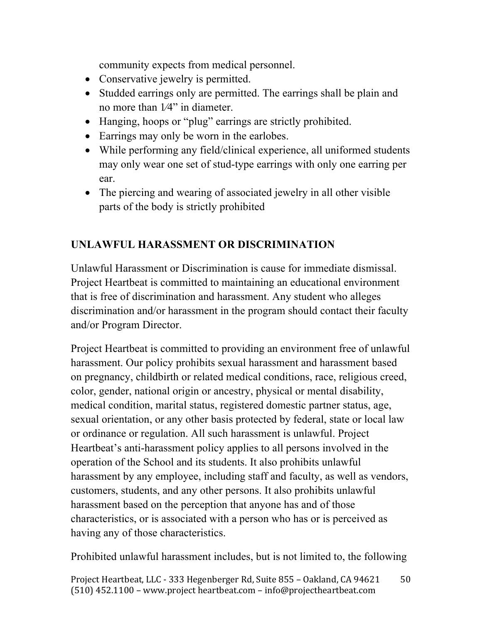community expects from medical personnel.

- Conservative jewelry is permitted.
- Studded earrings only are permitted. The earrings shall be plain and no more than 1⁄4" in diameter.
- Hanging, hoops or "plug" earrings are strictly prohibited.
- Earrings may only be worn in the earlobes.
- While performing any field/clinical experience, all uniformed students may only wear one set of stud-type earrings with only one earring per ear.
- The piercing and wearing of associated jewelry in all other visible parts of the body is strictly prohibited

### **UNLAWFUL HARASSMENT OR DISCRIMINATION**

Unlawful Harassment or Discrimination is cause for immediate dismissal. Project Heartbeat is committed to maintaining an educational environment that is free of discrimination and harassment. Any student who alleges discrimination and/or harassment in the program should contact their faculty and/or Program Director.

Project Heartbeat is committed to providing an environment free of unlawful harassment. Our policy prohibits sexual harassment and harassment based on pregnancy, childbirth or related medical conditions, race, religious creed, color, gender, national origin or ancestry, physical or mental disability, medical condition, marital status, registered domestic partner status, age, sexual orientation, or any other basis protected by federal, state or local law or ordinance or regulation. All such harassment is unlawful. Project Heartbeat's anti-harassment policy applies to all persons involved in the operation of the School and its students. It also prohibits unlawful harassment by any employee, including staff and faculty, as well as vendors, customers, students, and any other persons. It also prohibits unlawful harassment based on the perception that anyone has and of those characteristics, or is associated with a person who has or is perceived as having any of those characteristics.

Prohibited unlawful harassment includes, but is not limited to, the following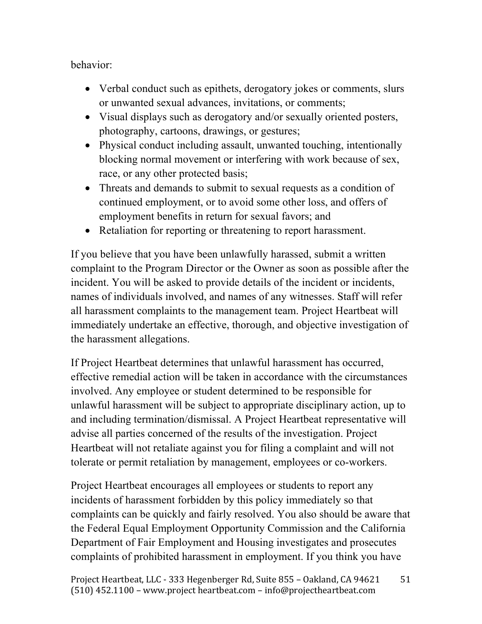behavior:

- Verbal conduct such as epithets, derogatory jokes or comments, slurs or unwanted sexual advances, invitations, or comments;
- Visual displays such as derogatory and/or sexually oriented posters, photography, cartoons, drawings, or gestures;
- Physical conduct including assault, unwanted touching, intentionally blocking normal movement or interfering with work because of sex, race, or any other protected basis;
- Threats and demands to submit to sexual requests as a condition of continued employment, or to avoid some other loss, and offers of employment benefits in return for sexual favors; and
- Retaliation for reporting or threatening to report harassment.

If you believe that you have been unlawfully harassed, submit a written complaint to the Program Director or the Owner as soon as possible after the incident. You will be asked to provide details of the incident or incidents, names of individuals involved, and names of any witnesses. Staff will refer all harassment complaints to the management team. Project Heartbeat will immediately undertake an effective, thorough, and objective investigation of the harassment allegations.

If Project Heartbeat determines that unlawful harassment has occurred, effective remedial action will be taken in accordance with the circumstances involved. Any employee or student determined to be responsible for unlawful harassment will be subject to appropriate disciplinary action, up to and including termination/dismissal. A Project Heartbeat representative will advise all parties concerned of the results of the investigation. Project Heartbeat will not retaliate against you for filing a complaint and will not tolerate or permit retaliation by management, employees or co-workers.

Project Heartbeat encourages all employees or students to report any incidents of harassment forbidden by this policy immediately so that complaints can be quickly and fairly resolved. You also should be aware that the Federal Equal Employment Opportunity Commission and the California Department of Fair Employment and Housing investigates and prosecutes complaints of prohibited harassment in employment. If you think you have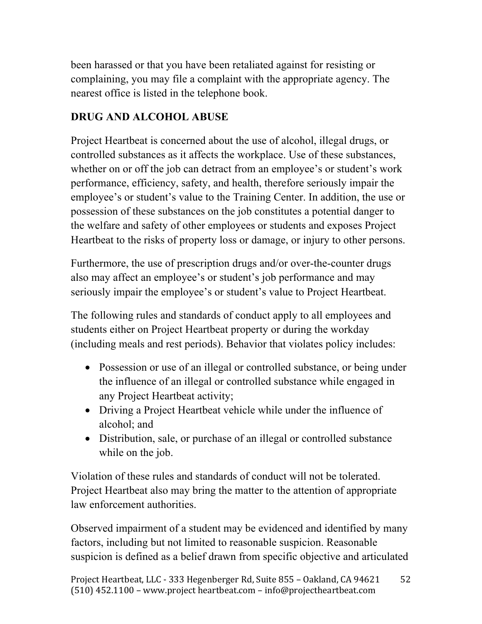been harassed or that you have been retaliated against for resisting or complaining, you may file a complaint with the appropriate agency. The nearest office is listed in the telephone book.

### **DRUG AND ALCOHOL ABUSE**

Project Heartbeat is concerned about the use of alcohol, illegal drugs, or controlled substances as it affects the workplace. Use of these substances, whether on or off the job can detract from an employee's or student's work performance, efficiency, safety, and health, therefore seriously impair the employee's or student's value to the Training Center. In addition, the use or possession of these substances on the job constitutes a potential danger to the welfare and safety of other employees or students and exposes Project Heartbeat to the risks of property loss or damage, or injury to other persons.

Furthermore, the use of prescription drugs and/or over-the-counter drugs also may affect an employee's or student's job performance and may seriously impair the employee's or student's value to Project Heartbeat.

The following rules and standards of conduct apply to all employees and students either on Project Heartbeat property or during the workday (including meals and rest periods). Behavior that violates policy includes:

- Possession or use of an illegal or controlled substance, or being under the influence of an illegal or controlled substance while engaged in any Project Heartbeat activity;
- Driving a Project Heartbeat vehicle while under the influence of alcohol; and
- Distribution, sale, or purchase of an illegal or controlled substance while on the job.

Violation of these rules and standards of conduct will not be tolerated. Project Heartbeat also may bring the matter to the attention of appropriate law enforcement authorities.

Observed impairment of a student may be evidenced and identified by many factors, including but not limited to reasonable suspicion. Reasonable suspicion is defined as a belief drawn from specific objective and articulated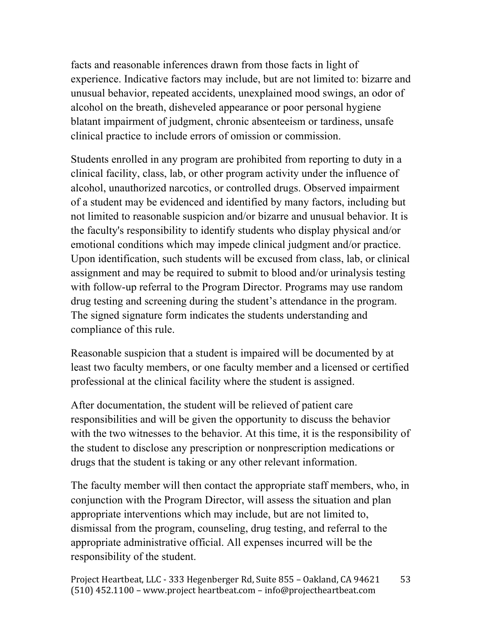facts and reasonable inferences drawn from those facts in light of experience. Indicative factors may include, but are not limited to: bizarre and unusual behavior, repeated accidents, unexplained mood swings, an odor of alcohol on the breath, disheveled appearance or poor personal hygiene blatant impairment of judgment, chronic absenteeism or tardiness, unsafe clinical practice to include errors of omission or commission.

Students enrolled in any program are prohibited from reporting to duty in a clinical facility, class, lab, or other program activity under the influence of alcohol, unauthorized narcotics, or controlled drugs. Observed impairment of a student may be evidenced and identified by many factors, including but not limited to reasonable suspicion and/or bizarre and unusual behavior. It is the faculty's responsibility to identify students who display physical and/or emotional conditions which may impede clinical judgment and/or practice. Upon identification, such students will be excused from class, lab, or clinical assignment and may be required to submit to blood and/or urinalysis testing with follow-up referral to the Program Director. Programs may use random drug testing and screening during the student's attendance in the program. The signed signature form indicates the students understanding and compliance of this rule.

Reasonable suspicion that a student is impaired will be documented by at least two faculty members, or one faculty member and a licensed or certified professional at the clinical facility where the student is assigned.

After documentation, the student will be relieved of patient care responsibilities and will be given the opportunity to discuss the behavior with the two witnesses to the behavior. At this time, it is the responsibility of the student to disclose any prescription or nonprescription medications or drugs that the student is taking or any other relevant information.

The faculty member will then contact the appropriate staff members, who, in conjunction with the Program Director, will assess the situation and plan appropriate interventions which may include, but are not limited to, dismissal from the program, counseling, drug testing, and referral to the appropriate administrative official. All expenses incurred will be the responsibility of the student.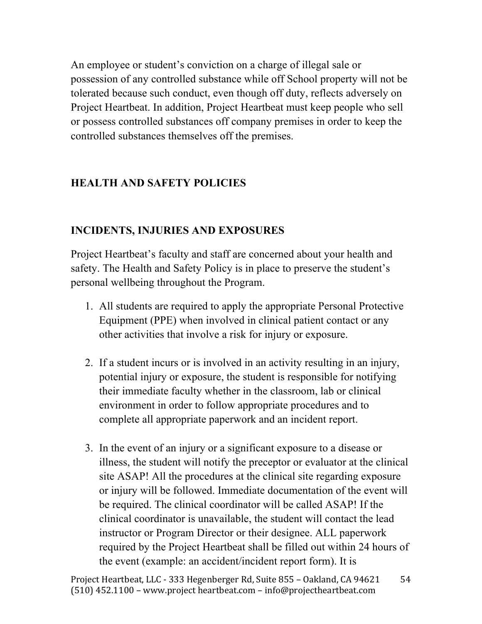An employee or student's conviction on a charge of illegal sale or possession of any controlled substance while off School property will not be tolerated because such conduct, even though off duty, reflects adversely on Project Heartbeat. In addition, Project Heartbeat must keep people who sell or possess controlled substances off company premises in order to keep the controlled substances themselves off the premises.

### **HEALTH AND SAFETY POLICIES**

### **INCIDENTS, INJURIES AND EXPOSURES**

Project Heartbeat's faculty and staff are concerned about your health and safety. The Health and Safety Policy is in place to preserve the student's personal wellbeing throughout the Program.

- 1. All students are required to apply the appropriate Personal Protective Equipment (PPE) when involved in clinical patient contact or any other activities that involve a risk for injury or exposure.
- 2. If a student incurs or is involved in an activity resulting in an injury, potential injury or exposure, the student is responsible for notifying their immediate faculty whether in the classroom, lab or clinical environment in order to follow appropriate procedures and to complete all appropriate paperwork and an incident report.
- 3. In the event of an injury or a significant exposure to a disease or illness, the student will notify the preceptor or evaluator at the clinical site ASAP! All the procedures at the clinical site regarding exposure or injury will be followed. Immediate documentation of the event will be required. The clinical coordinator will be called ASAP! If the clinical coordinator is unavailable, the student will contact the lead instructor or Program Director or their designee. ALL paperwork required by the Project Heartbeat shall be filled out within 24 hours of the event (example: an accident/incident report form). It is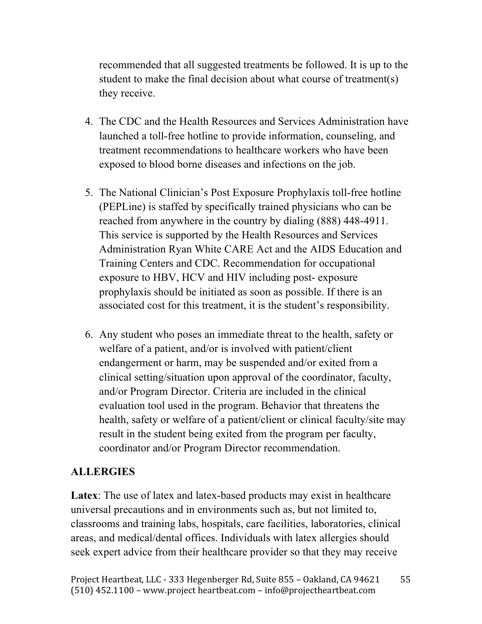recommended that all suggested treatments be followed. It is up to the student to make the final decision about what course of treatment(s) they receive.

- 4. The CDC and the Health Resources and Services Administration have launched a toll-free hotline to provide information, counseling, and treatment recommendations to healthcare workers who have been exposed to blood borne diseases and infections on the job.
- 5. The National Clinician's Post Exposure Prophylaxis toll-free hotline (PEPLine) is staffed by specifically trained physicians who can be reached from anywhere in the country by dialing (888) 448-4911. This service is supported by the Health Resources and Services Administration Ryan White CARE Act and the AIDS Education and Training Centers and CDC. Recommendation for occupational exposure to HBV, HCV and HIV including post- exposure prophylaxis should be initiated as soon as possible. If there is an associated cost for this treatment, it is the student's responsibility.
- 6. Any student who poses an immediate threat to the health, safety or welfare of a patient, and/or is involved with patient/client endangerment or harm, may be suspended and/or exited from a clinical setting/situation upon approval of the coordinator, faculty, and/or Program Director. Criteria are included in the clinical evaluation tool used in the program. Behavior that threatens the health, safety or welfare of a patient/client or clinical faculty/site may result in the student being exited from the program per faculty, coordinator and/or Program Director recommendation.

#### **ALLERGIES**

Latex: The use of latex and latex-based products may exist in healthcare universal precautions and in environments such as, but not limited to, classrooms and training labs, hospitals, care facilities, laboratories, clinical areas, and medical/dental offices. Individuals with latex allergies should seek expert advice from their healthcare provider so that they may receive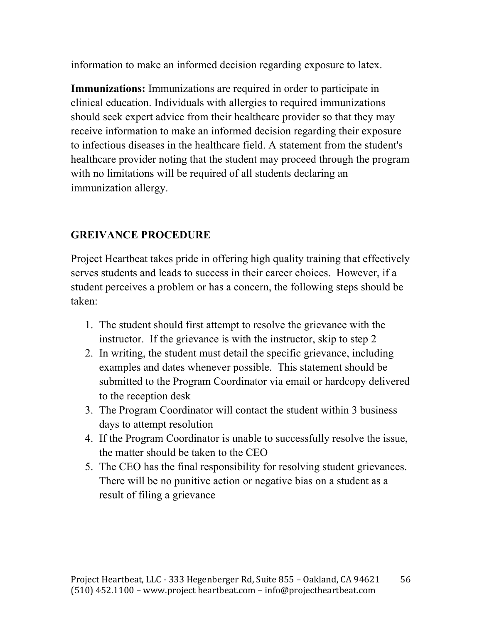information to make an informed decision regarding exposure to latex.

**Immunizations:** Immunizations are required in order to participate in clinical education. Individuals with allergies to required immunizations should seek expert advice from their healthcare provider so that they may receive information to make an informed decision regarding their exposure to infectious diseases in the healthcare field. A statement from the student's healthcare provider noting that the student may proceed through the program with no limitations will be required of all students declaring an immunization allergy.

### **GREIVANCE PROCEDURE**

Project Heartbeat takes pride in offering high quality training that effectively serves students and leads to success in their career choices. However, if a student perceives a problem or has a concern, the following steps should be taken:

- 1. The student should first attempt to resolve the grievance with the instructor. If the grievance is with the instructor, skip to step 2
- 2. In writing, the student must detail the specific grievance, including examples and dates whenever possible. This statement should be submitted to the Program Coordinator via email or hardcopy delivered to the reception desk
- 3. The Program Coordinator will contact the student within 3 business days to attempt resolution
- 4. If the Program Coordinator is unable to successfully resolve the issue, the matter should be taken to the CEO
- 5. The CEO has the final responsibility for resolving student grievances. There will be no punitive action or negative bias on a student as a result of filing a grievance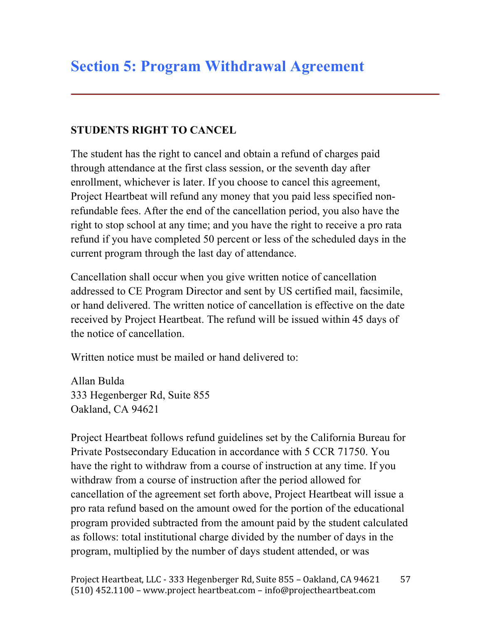### **STUDENTS RIGHT TO CANCEL**

The student has the right to cancel and obtain a refund of charges paid through attendance at the first class session, or the seventh day after enrollment, whichever is later. If you choose to cancel this agreement, Project Heartbeat will refund any money that you paid less specified nonrefundable fees. After the end of the cancellation period, you also have the right to stop school at any time; and you have the right to receive a pro rata refund if you have completed 50 percent or less of the scheduled days in the current program through the last day of attendance.

Cancellation shall occur when you give written notice of cancellation addressed to CE Program Director and sent by US certified mail, facsimile, or hand delivered. The written notice of cancellation is effective on the date received by Project Heartbeat. The refund will be issued within 45 days of the notice of cancellation.

Written notice must be mailed or hand delivered to:

Allan Bulda 333 Hegenberger Rd, Suite 855 Oakland, CA 94621

Project Heartbeat follows refund guidelines set by the California Bureau for Private Postsecondary Education in accordance with 5 CCR 71750. You have the right to withdraw from a course of instruction at any time. If you withdraw from a course of instruction after the period allowed for cancellation of the agreement set forth above, Project Heartbeat will issue a pro rata refund based on the amount owed for the portion of the educational program provided subtracted from the amount paid by the student calculated as follows: total institutional charge divided by the number of days in the program, multiplied by the number of days student attended, or was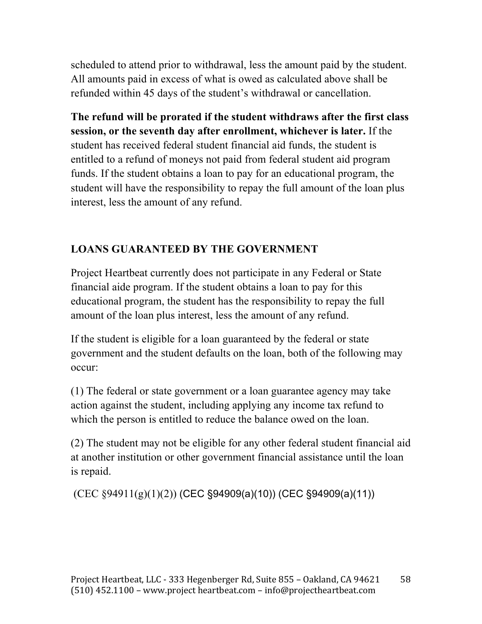scheduled to attend prior to withdrawal, less the amount paid by the student. All amounts paid in excess of what is owed as calculated above shall be refunded within 45 days of the student's withdrawal or cancellation.

**The refund will be prorated if the student withdraws after the first class session, or the seventh day after enrollment, whichever is later.** If the student has received federal student financial aid funds, the student is entitled to a refund of moneys not paid from federal student aid program funds. If the student obtains a loan to pay for an educational program, the student will have the responsibility to repay the full amount of the loan plus interest, less the amount of any refund.

### **LOANS GUARANTEED BY THE GOVERNMENT**

Project Heartbeat currently does not participate in any Federal or State financial aide program. If the student obtains a loan to pay for this educational program, the student has the responsibility to repay the full amount of the loan plus interest, less the amount of any refund.

If the student is eligible for a loan guaranteed by the federal or state government and the student defaults on the loan, both of the following may occur:

(1) The federal or state government or a loan guarantee agency may take action against the student, including applying any income tax refund to which the person is entitled to reduce the balance owed on the loan.

(2) The student may not be eligible for any other federal student financial aid at another institution or other government financial assistance until the loan is repaid.

 $(CEC \S 94911(g)(1)(2))$  (CEC  $S 94909(a)(10))$  (CEC  $S 94909(a)(11))$ )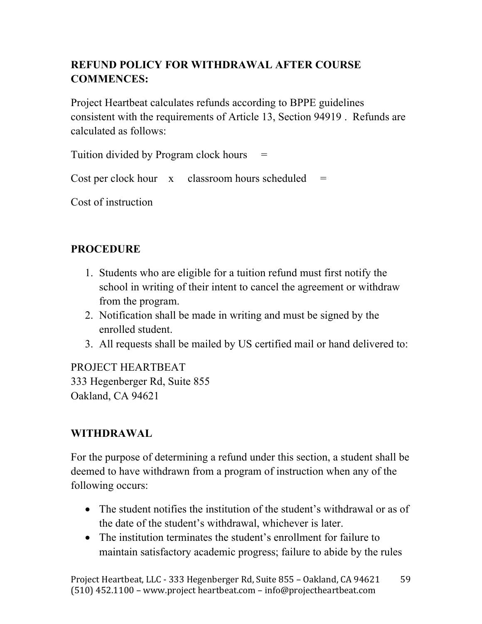# **REFUND POLICY FOR WITHDRAWAL AFTER COURSE COMMENCES:**

Project Heartbeat calculates refunds according to BPPE guidelines consistent with the requirements of Article 13, Section 94919 . Refunds are calculated as follows:

Tuition divided by Program clock hours  $=$ 

Cost per clock hour  $x =$  classroom hours scheduled  $=$ 

Cost of instruction

### **PROCEDURE**

- 1. Students who are eligible for a tuition refund must first notify the school in writing of their intent to cancel the agreement or withdraw from the program.
- 2. Notification shall be made in writing and must be signed by the enrolled student.
- 3. All requests shall be mailed by US certified mail or hand delivered to:

PROJECT HEARTBEAT 333 Hegenberger Rd, Suite 855 Oakland, CA 94621

### **WITHDRAWAL**

For the purpose of determining a refund under this section, a student shall be deemed to have withdrawn from a program of instruction when any of the following occurs:

- The student notifies the institution of the student's withdrawal or as of the date of the student's withdrawal, whichever is later.
- The institution terminates the student's enrollment for failure to maintain satisfactory academic progress; failure to abide by the rules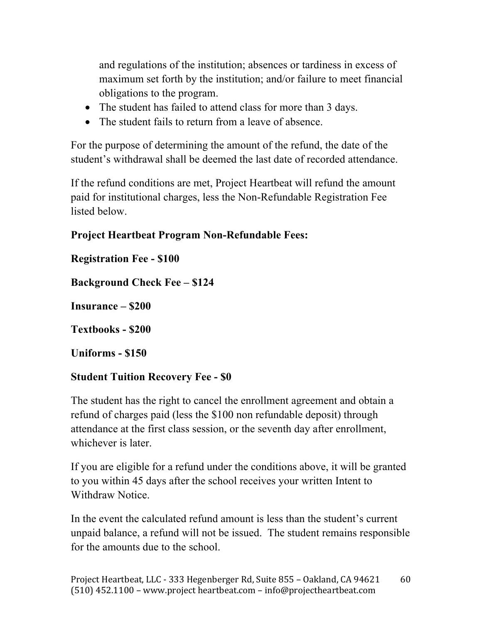and regulations of the institution; absences or tardiness in excess of maximum set forth by the institution; and/or failure to meet financial obligations to the program.

- The student has failed to attend class for more than 3 days.
- The student fails to return from a leave of absence.

For the purpose of determining the amount of the refund, the date of the student's withdrawal shall be deemed the last date of recorded attendance.

If the refund conditions are met, Project Heartbeat will refund the amount paid for institutional charges, less the Non-Refundable Registration Fee listed below.

### **Project Heartbeat Program Non-Refundable Fees:**

**Registration Fee - \$100**

**Background Check Fee – \$124**

**Insurance – \$200**

**Textbooks - \$200**

**Uniforms - \$150**

### **Student Tuition Recovery Fee - \$0**

The student has the right to cancel the enrollment agreement and obtain a refund of charges paid (less the \$100 non refundable deposit) through attendance at the first class session, or the seventh day after enrollment, whichever is later.

If you are eligible for a refund under the conditions above, it will be granted to you within 45 days after the school receives your written Intent to Withdraw Notice.

In the event the calculated refund amount is less than the student's current unpaid balance, a refund will not be issued. The student remains responsible for the amounts due to the school.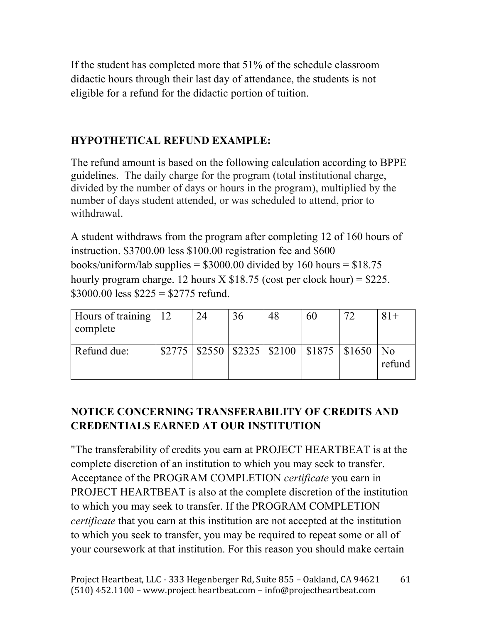If the student has completed more that 51% of the schedule classroom didactic hours through their last day of attendance, the students is not eligible for a refund for the didactic portion of tuition.

### **HYPOTHETICAL REFUND EXAMPLE:**

The refund amount is based on the following calculation according to BPPE guidelines. The daily charge for the program (total institutional charge, divided by the number of days or hours in the program), multiplied by the number of days student attended, or was scheduled to attend, prior to withdrawal.

A student withdraws from the program after completing 12 of 160 hours of instruction. \$3700.00 less \$100.00 registration fee and \$600 books/uniform/lab supplies =  $$3000.00$  divided by 160 hours =  $$18.75$ hourly program charge. 12 hours  $X $18.75$  (cost per clock hour) = \$225.  $$3000.00$  less  $$225 = $2775$  refund.

| Hours of training   12<br>complete | 24 | 36 | 48 | 60                                                             | 72 | $81+$                        |
|------------------------------------|----|----|----|----------------------------------------------------------------|----|------------------------------|
| Refund due:                        |    |    |    | $$2775 \mid $2550 \mid $2325 \mid $2100 \mid $1875 \mid $1650$ |    | $\overline{N_{0}}$<br>refund |

# **NOTICE CONCERNING TRANSFERABILITY OF CREDITS AND CREDENTIALS EARNED AT OUR INSTITUTION**

"The transferability of credits you earn at PROJECT HEARTBEAT is at the complete discretion of an institution to which you may seek to transfer. Acceptance of the PROGRAM COMPLETION *certificate* you earn in PROJECT HEARTBEAT is also at the complete discretion of the institution to which you may seek to transfer. If the PROGRAM COMPLETION *certificate* that you earn at this institution are not accepted at the institution to which you seek to transfer, you may be required to repeat some or all of your coursework at that institution. For this reason you should make certain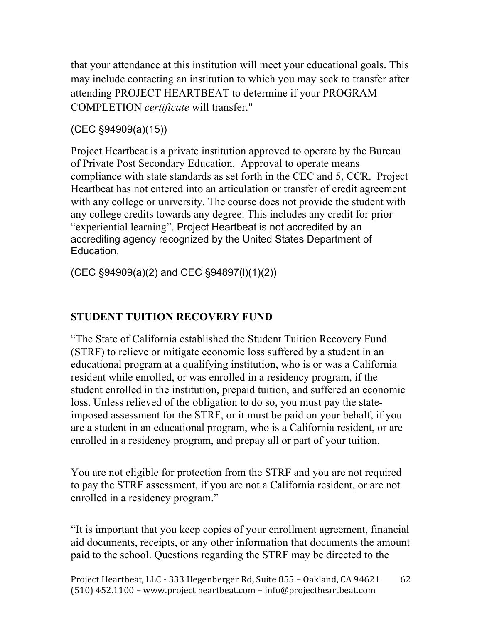that your attendance at this institution will meet your educational goals. This may include contacting an institution to which you may seek to transfer after attending PROJECT HEARTBEAT to determine if your PROGRAM COMPLETION *certificate* will transfer."

#### (CEC §94909(a)(15))

Project Heartbeat is a private institution approved to operate by the Bureau of Private Post Secondary Education. Approval to operate means compliance with state standards as set forth in the CEC and 5, CCR. Project Heartbeat has not entered into an articulation or transfer of credit agreement with any college or university. The course does not provide the student with any college credits towards any degree. This includes any credit for prior "experiential learning". Project Heartbeat is not accredited by an accrediting agency recognized by the United States Department of Education.

(CEC §94909(a)(2) and CEC §94897(l)(1)(2))

### **STUDENT TUITION RECOVERY FUND**

"The State of California established the Student Tuition Recovery Fund (STRF) to relieve or mitigate economic loss suffered by a student in an educational program at a qualifying institution, who is or was a California resident while enrolled, or was enrolled in a residency program, if the student enrolled in the institution, prepaid tuition, and suffered an economic loss. Unless relieved of the obligation to do so, you must pay the stateimposed assessment for the STRF, or it must be paid on your behalf, if you are a student in an educational program, who is a California resident, or are enrolled in a residency program, and prepay all or part of your tuition.

You are not eligible for protection from the STRF and you are not required to pay the STRF assessment, if you are not a California resident, or are not enrolled in a residency program."

"It is important that you keep copies of your enrollment agreement, financial aid documents, receipts, or any other information that documents the amount paid to the school. Questions regarding the STRF may be directed to the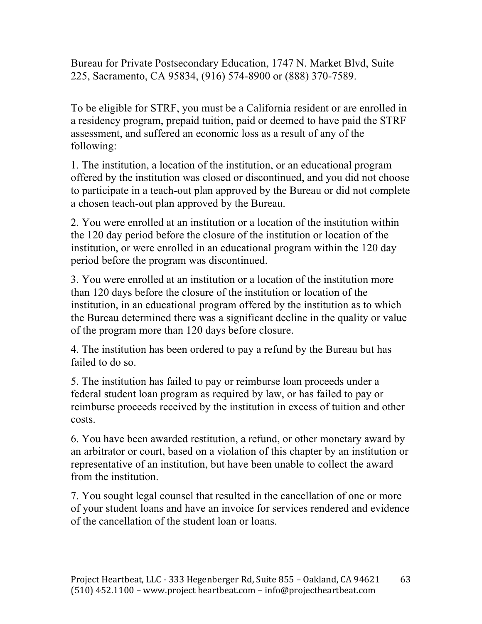Bureau for Private Postsecondary Education, 1747 N. Market Blvd, Suite 225, Sacramento, CA 95834, (916) 574-8900 or (888) 370-7589.

To be eligible for STRF, you must be a California resident or are enrolled in a residency program, prepaid tuition, paid or deemed to have paid the STRF assessment, and suffered an economic loss as a result of any of the following:

1. The institution, a location of the institution, or an educational program offered by the institution was closed or discontinued, and you did not choose to participate in a teach-out plan approved by the Bureau or did not complete a chosen teach-out plan approved by the Bureau.

2. You were enrolled at an institution or a location of the institution within the 120 day period before the closure of the institution or location of the institution, or were enrolled in an educational program within the 120 day period before the program was discontinued.

3. You were enrolled at an institution or a location of the institution more than 120 days before the closure of the institution or location of the institution, in an educational program offered by the institution as to which the Bureau determined there was a significant decline in the quality or value of the program more than 120 days before closure.

4. The institution has been ordered to pay a refund by the Bureau but has failed to do so.

5. The institution has failed to pay or reimburse loan proceeds under a federal student loan program as required by law, or has failed to pay or reimburse proceeds received by the institution in excess of tuition and other costs.

6. You have been awarded restitution, a refund, or other monetary award by an arbitrator or court, based on a violation of this chapter by an institution or representative of an institution, but have been unable to collect the award from the institution.

7. You sought legal counsel that resulted in the cancellation of one or more of your student loans and have an invoice for services rendered and evidence of the cancellation of the student loan or loans.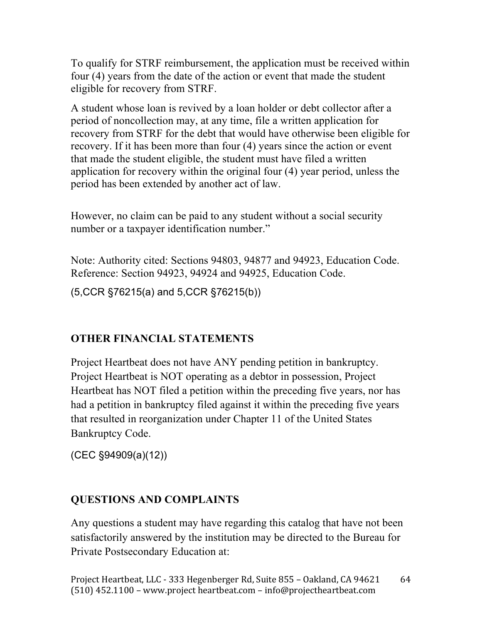To qualify for STRF reimbursement, the application must be received within four (4) years from the date of the action or event that made the student eligible for recovery from STRF.

A student whose loan is revived by a loan holder or debt collector after a period of noncollection may, at any time, file a written application for recovery from STRF for the debt that would have otherwise been eligible for recovery. If it has been more than four (4) years since the action or event that made the student eligible, the student must have filed a written application for recovery within the original four (4) year period, unless the period has been extended by another act of law.

However, no claim can be paid to any student without a social security number or a taxpayer identification number."

Note: Authority cited: Sections 94803, 94877 and 94923, Education Code. Reference: Section 94923, 94924 and 94925, Education Code.

(5,CCR §76215(a) and 5,CCR §76215(b))

### **OTHER FINANCIAL STATEMENTS**

Project Heartbeat does not have ANY pending petition in bankruptcy. Project Heartbeat is NOT operating as a debtor in possession, Project Heartbeat has NOT filed a petition within the preceding five years, nor has had a petition in bankruptcy filed against it within the preceding five years that resulted in reorganization under Chapter 11 of the United States Bankruptcy Code.

(CEC §94909(a)(12))

### **QUESTIONS AND COMPLAINTS**

Any questions a student may have regarding this catalog that have not been satisfactorily answered by the institution may be directed to the Bureau for Private Postsecondary Education at: